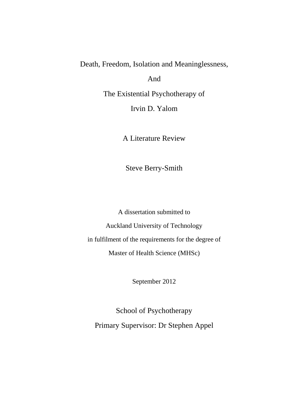Death, Freedom, Isolation and Meaninglessness,

And

The Existential Psychotherapy of Irvin D. Yalom

A Literature Review

Steve Berry-Smith

A dissertation submitted to Auckland University of Technology in fulfilment of the requirements for the degree of Master of Health Science (MHSc)

September 2012

School of Psychotherapy Primary Supervisor: Dr Stephen Appel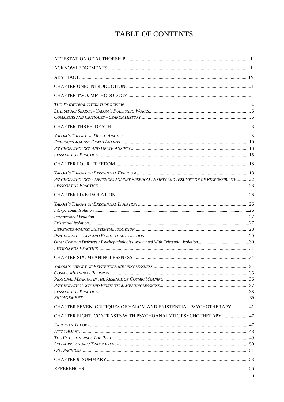# TABLE OF CONTENTS

| PSYCHOPATHOLOGY / DEFENCES AGAINST FREEDOM ANXIETY AND ASSUMPTION OF RESPONSIBILITY  22 |   |
|-----------------------------------------------------------------------------------------|---|
|                                                                                         |   |
|                                                                                         |   |
|                                                                                         |   |
|                                                                                         |   |
|                                                                                         |   |
|                                                                                         |   |
|                                                                                         |   |
|                                                                                         |   |
|                                                                                         |   |
|                                                                                         |   |
|                                                                                         |   |
|                                                                                         |   |
|                                                                                         |   |
|                                                                                         |   |
|                                                                                         |   |
|                                                                                         |   |
| CHAPTER SEVEN: CRITIQUES OF YALOM AND EXISTENTIAL PSYCHOTHERAPY 41                      |   |
| CHAPTER EIGHT: CONTRASTS WITH PSYCHOANALYTIC PSYCHOTHERAPY  47                          |   |
|                                                                                         |   |
|                                                                                         |   |
|                                                                                         |   |
|                                                                                         |   |
|                                                                                         |   |
|                                                                                         |   |
|                                                                                         |   |
|                                                                                         | ı |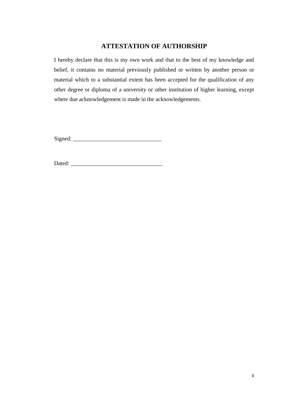# **ATTESTATION OF AUTHORSHIP**

<span id="page-2-0"></span>I hereby declare that this is my own work and that to the best of my knowledge and belief, it contains no material previously published or written by another person or material which to a substantial extent has been accepted for the qualification of any other degree or diploma of a university or other institution of higher learning, except where due acknowledgement is made in the acknowledgements.

Signed:

Dated: \_\_\_\_\_\_\_\_\_\_\_\_\_\_\_\_\_\_\_\_\_\_\_\_\_\_\_\_\_\_\_\_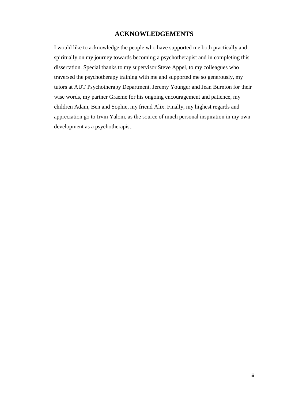## **ACKNOWLEDGEMENTS**

<span id="page-3-0"></span>I would like to acknowledge the people who have supported me both practically and spiritually on my journey towards becoming a psychotherapist and in completing this dissertation. Special thanks to my supervisor Steve Appel, to my colleagues who traversed the psychotherapy training with me and supported me so generously, my tutors at AUT Psychotherapy Department, Jeremy Younger and Jean Burnton for their wise words, my partner Graeme for his ongoing encouragement and patience, my children Adam, Ben and Sophie, my friend Alix. Finally, my highest regards and appreciation go to Irvin Yalom, as the source of much personal inspiration in my own development as a psychotherapist.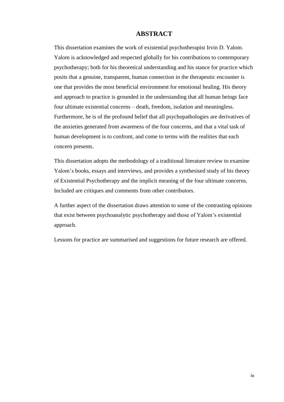### **ABSTRACT**

<span id="page-4-0"></span>This dissertation examines the work of existential psychotherapist Irvin D. Yalom. Yalom is acknowledged and respected globally for his contributions to contemporary psychotherapy; both for his theoretical understanding and his stance for practice which posits that a genuine, transparent, human connection in the therapeutic encounter is one that provides the most beneficial environment for emotional healing. His theory and approach to practice is grounded in the understanding that all human beings face four ultimate existential concerns – death, freedom, isolation and meaningless. Furthermore, he is of the profound belief that all psychopathologies are derivatives of the anxieties generated from awareness of the four concerns, and that a vital task of human development is to confront, and come to terms with the realities that each concern presents.

This dissertation adopts the methodology of a traditional literature review to examine Yalom's books, essays and interviews, and provides a synthesised study of his theory of Existential Psychotherapy and the implicit meaning of the four ultimate concerns. Included are critiques and comments from other contributors.

A further aspect of the dissertation draws attention to some of the contrasting opinions that exist between psychoanalytic psychotherapy and those of Yalom's existential approach.

Lessons for practice are summarised and suggestions for future research are offered.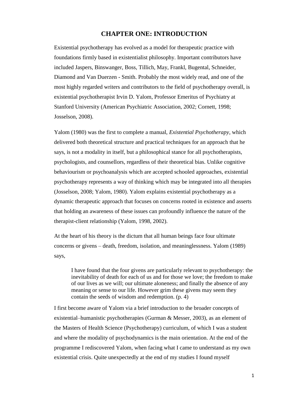## **CHAPTER ONE: INTRODUCTION**

<span id="page-5-0"></span>Existential psychotherapy has evolved as a model for therapeutic practice with foundations firmly based in existentialist philosophy. Important contributors have included Jaspers, Binswanger, Boss, Tillich, May, Frankl, Bugental, Schneider, Diamond and Van Duerzen - Smith. Probably the most widely read, and one of the most highly regarded writers and contributors to the field of psychotherapy overall, is existential psychotherapist Irvin D. Yalom, Professor Emeritus of Psychiatry at Stanford University (American Psychiatric Association, 2002; Cornett, 1998; Josselson, 2008).

Yalom (1980) was the first to complete a manual, *Existential Psychotherapy*, which delivered both theoretical structure and practical techniques for an approach that he says, is not a modality in itself, but a philosophical stance for all psychotherapists, psychologists, and counsellors, regardless of their theoretical bias. Unlike cognitive behaviourism or psychoanalysis which are accepted schooled approaches, existential psychotherapy represents a way of thinking which may be integrated into all therapies (Josselson, 2008; Yalom, 1980). Yalom explains existential psychotherapy as a dynamic therapeutic approach that focuses on concerns rooted in existence and asserts that holding an awareness of these issues can profoundly influence the nature of the therapist-client relationship (Yalom, 1998, 2002).

At the heart of his theory is the dictum that all human beings face four ultimate concerns or givens – death, freedom, isolation, and meaninglessness. Yalom (1989) says,

I have found that the four givens are particularly relevant to psychotherapy: the inevitability of death for each of us and for those we love; the freedom to make of our lives as we will; our ultimate aloneness; and finally the absence of any meaning or sense to our life. However grim these givens may seem they contain the seeds of wisdom and redemption. (p. 4)

I first become aware of Yalom via a brief introduction to the broader concepts of existential–humanistic psychotherapies (Gurman & Messer, 2003), as an element of the Masters of Health Science (Psychotherapy) curriculum, of which I was a student and where the modality of psychodynamics is the main orientation. At the end of the programme I rediscovered Yalom, when facing what I came to understand as my own existential crisis. Quite unexpectedly at the end of my studies I found myself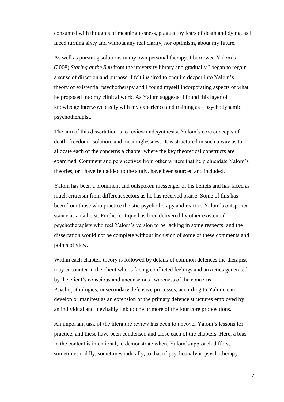consumed with thoughts of meaninglessness, plagued by fears of death and dying, as I faced turning sixty and without any real clarity, nor optimism, about my future.

As well as pursuing solutions in my own personal therapy, I borrowed Yalom's (2008) *Staring at the Sun* from the university library and gradually I began to regain a sense of direction and purpose. I felt inspired to enquire deeper into Yalom's theory of existential psychotherapy and I found myself incorporating aspects of what he proposed into my clinical work. As Yalom suggests, I found this layer of knowledge interwove easily with my experience and training as a psychodynamic psychotherapist.

The aim of this dissertation is to review and synthesise Yalom's core concepts of death, freedom, isolation, and meaninglessness. It is structured in such a way as to allocate each of the concerns a chapter where the key theoretical constructs are examined. Comment and perspectives from other writers that help elucidate Yalom's theories, or I have felt added to the study, have been sourced and included.

Yalom has been a prominent and outspoken messenger of his beliefs and has faced as much criticism from different sectors as he has received praise. Some of this has been from those who practice theistic psychotherapy and react to Yalom's outspoken stance as an atheist. Further critique has been delivered by other existential psychotherapists who feel Yalom's version to be lacking in some respects, and the dissertation would not be complete without inclusion of some of these comments and points of view.

Within each chapter, theory is followed by details of common defences the therapist may encounter in the client who is facing conflicted feelings and anxieties generated by the client's conscious and unconscious awareness of the concerns. Psychopathologies, or secondary defensive processes, according to Yalom, can develop or manifest as an extension of the primary defence structures employed by an individual and inevitably link to one or more of the four core propositions.

An important task of the literature review has been to uncover Yalom's lessons for practice, and these have been condensed and close each of the chapters. Here, a bias in the content is intentional, to demonstrate where Yalom's approach differs, sometimes mildly, sometimes radically, to that of psychoanalytic psychotherapy.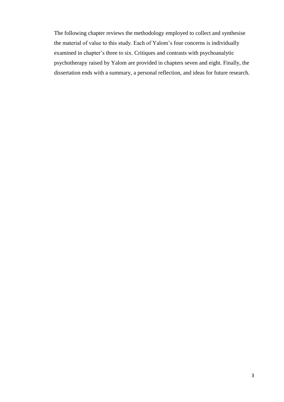The following chapter reviews the methodology employed to collect and synthesise the material of value to this study. Each of Yalom's four concerns is individually examined in chapter's three to six. Critiques and contrasts with psychoanalytic psychotherapy raised by Yalom are provided in chapters seven and eight. Finally, the dissertation ends with a summary, a personal reflection, and ideas for future research.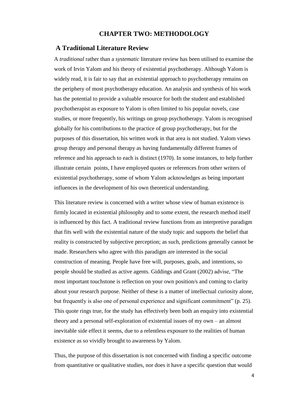## **CHAPTER TWO: METHODOLOGY**

### <span id="page-8-0"></span>**A Traditional Literature Review**

A *traditional* rather than a *systematic* literature review has been utilised to examine the work of Irvin Yalom and his theory of existential psychotherapy. Although Yalom is widely read, it is fair to say that an existential approach to psychotherapy remains on the periphery of most psychotherapy education. An analysis and synthesis of his work has the potential to provide a valuable resource for both the student and established psychotherapist as exposure to Yalom is often limited to his popular novels, case studies, or more frequently, his writings on group psychotherapy. Yalom is recognised globally for his contributions to the practice of group psychotherapy, but for the purposes of this dissertation, his written work in that area is not studied. Yalom views group therapy and personal therapy as having fundamentally different frames of reference and his approach to each is distinct (1970). In some instances, to help further illustrate certain points, I have employed quotes or references from other writers of existential psychotherapy, some of whom Yalom acknowledges as being important influences in the development of his own theoretical understanding.

This literature review is concerned with a writer whose view of human existence is firmly located in existential philosophy and to some extent, the research method itself is influenced by this fact. A traditional review functions from an interpretive paradigm that fits well with the existential nature of the study topic and supports the belief that reality is constructed by subjective perception; as such, predictions generally cannot be made. Researchers who agree with this paradigm are interested in the social construction of meaning. People have free will, purposes, goals, and intentions, so people should be studied as active agents. Giddings and Grant (2002) advise, "The most important touchstone is reflection on your own position/s and coming to clarity about your research purpose. Neither of these is a matter of intellectual curiosity alone, but frequently is also one of personal experience and significant commitment" (p. 25). This quote rings true, for the study has effectively been both an enquiry into existential theory and a personal self-exploration of existential issues of my own – an almost inevitable side effect it seems, due to a relentless exposure to the realities of human existence as so vividly brought to awareness by Yalom.

Thus, the purpose of this dissertation is not concerned with finding a specific outcome from quantitative or qualitative studies, nor does it have a specific question that would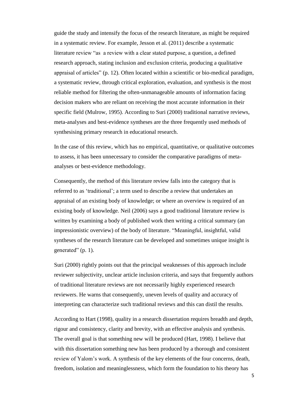guide the study and intensify the focus of the research literature, as might be required in a systematic review. For example, Jesson et al. (2011) describe a systematic literature review "as a review with a clear stated purpose, a question, a defined research approach, stating inclusion and exclusion criteria, producing a qualitative appraisal of articles" (p. 12). Often located within a scientific or bio-medical paradigm, a systematic review, through critical exploration, evaluation, and synthesis is the most reliable method for filtering the often-unmanageable amounts of information facing decision makers who are reliant on receiving the most accurate information in their specific field (Mulrow, 1995). According to Suri (2000) traditional narrative reviews, meta-analyses and best-evidence syntheses are the three frequently used methods of synthesising primary research in educational research.

In the case of this review, which has no empirical, quantitative, or qualitative outcomes to assess, it has been unnecessary to consider the comparative paradigms of metaanalyses or best-evidence methodology.

Consequently, the method of this literature review falls into the category that is referred to as 'traditional'; a term used to describe a review that undertakes an appraisal of an existing body of knowledge; or where an overview is required of an existing body of knowledge. Neil (2006) says a good traditional literature review is written by examining a body of published work then writing a critical summary (an impressionistic overview) of the body of literature. "Meaningful, insightful, valid syntheses of the research literature can be developed and sometimes unique insight is generated" (p. 1).

Suri (2000) rightly points out that the principal weaknesses of this approach include reviewer subjectivity, unclear article inclusion criteria, and says that frequently authors of traditional literature reviews are not necessarily highly experienced research reviewers. He warns that consequently, uneven levels of quality and accuracy of interpreting can characterize such traditional reviews and this can distil the results.

According to Hart (1998), quality in a research dissertation requires breadth and depth, rigour and consistency, clarity and brevity, with an effective analysis and synthesis. The overall goal is that something new will be produced (Hart, 1998). I believe that with this dissertation something new has been produced by a thorough and consistent review of Yalom's work. A synthesis of the key elements of the four concerns, death, freedom, isolation and meaninglessness, which form the foundation to his theory has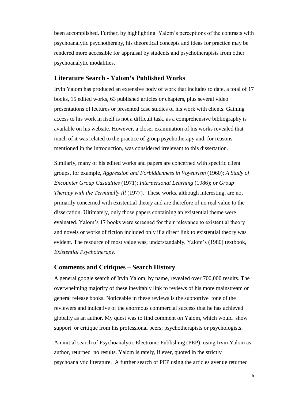been accomplished. Further, by highlighting Yalom's perceptions of the contrasts with psychoanalytic psychotherapy, his theoretical concepts and ideas for practice may be rendered more accessible for appraisal by students and psychotherapists from other psychoanalytic modalities.

## <span id="page-10-0"></span>**Literature Search - Yalom's Published Works**

Irvin Yalom has produced an extensive body of work that includes to date, a total of 17 books, 15 edited works, 63 published articles or chapters, plus several video presentations of lectures or presented case studies of his work with clients. Gaining access to his work in itself is not a difficult task, as a comprehensive bibliography is available on his website. However, a closer examination of his works revealed that much of it was related to the practice of group psychotherapy and, for reasons mentioned in the introduction, was considered irrelevant to this dissertation.

Similarly, many of his edited works and papers are concerned with specific client groups, for example, *Aggression and Forbiddenness in Voyeurism* (1960); *A Study of Encounter Group Casualties* (1971); *Interpersonal Learning* (1986); or *Group Therapy with the Terminally Ill* (1977). These works, although interesting, are not primarily concerned with existential theory and are therefore of no real value to the dissertation. Ultimately, only those papers containing an existential theme were evaluated. Yalom's 17 books were screened for their relevance to existential theory and novels or works of fiction included only if a direct link to existential theory was evident. The resource of most value was, understandably, Yalom's (1980) textbook, *Existential Psychotherapy*.

#### <span id="page-10-1"></span>**Comments and Critiques – Search History**

A general google search of Irvin Yalom, by name, revealed over 700,000 results. The overwhelming majority of these inevitably link to reviews of his more mainstream or general release books. Noticeable in these reviews is the supportive tone of the reviewers and indicative of the enormous commercial success that he has achieved globally as an author. My quest was to find comment on Yalom, which would show support or critique from his professional peers; psychotherapists or psychologists.

An initial search of Psychoanalytic Electronic Publishing (PEP), using Irvin Yalom as author, returned no results. Yalom is rarely, if ever, quoted in the strictly psychoanalytic literature. A further search of PEP using the articles avenue returned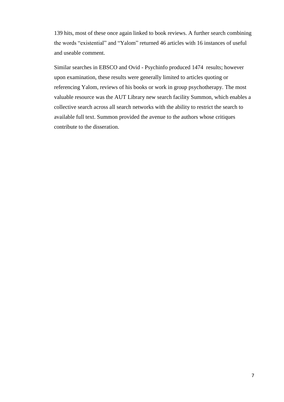139 hits, most of these once again linked to book reviews. A further search combining the words "existential" and "Yalom" returned 46 articles with 16 instances of useful and useable comment.

Similar searches in EBSCO and Ovid - Psychinfo produced 1474 results; however upon examination, these results were generally limited to articles quoting or referencing Yalom, reviews of his books or work in group psychotherapy. The most valuable resource was the AUT Library new search facility Summon, which enables a collective search across all search networks with the ability to restrict the search to available full text. Summon provided the avenue to the authors whose critiques contribute to the disseration.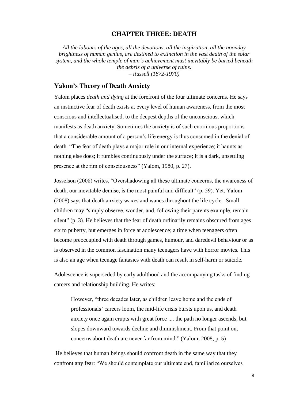#### **CHAPTER THREE: DEATH**

<span id="page-12-0"></span>*All the labours of the ages, all the devotions, all the inspiration, all the noonday brightness of human genius, are destined to extinction in the vast death of the solar system, and the whole temple of man's achievement must inevitably be buried beneath the debris of a universe of ruins. – Russell (1872-1970)*

#### <span id="page-12-1"></span>**Yalom's Theory of Death Anxiety**

Yalom places *death and dying* at the forefront of the four ultimate concerns. He says an instinctive fear of death exists at every level of human awareness, from the most conscious and intellectualised, to the deepest depths of the unconscious, which manifests as death anxiety. Sometimes the anxiety is of such enormous proportions that a considerable amount of a person's life energy is thus consumed in the denial of death. "The fear of death plays a major role in our internal experience; it haunts as nothing else does; it rumbles continuously under the surface; it is a dark, unsettling presence at the rim of consciousness" (Yalom, 1980, p. 27).

Josselson (2008) writes, "Overshadowing all these ultimate concerns, the awareness of death, our inevitable demise, is the most painful and difficult" (p. 59). Yet, Yalom (2008) says that death anxiety waxes and wanes throughout the life cycle. Small children may "simply observe, wonder, and, following their parents example, remain silent" (p. 3). He believes that the fear of death ordinarily remains obscured from ages six to puberty, but emerges in force at adolescence; a time when teenagers often become preoccupied with death through games, humour, and daredevil behaviour or as is observed in the common fascination many teenagers have with horror movies. This is also an age when teenage fantasies with death can result in self-harm or suicide.

Adolescence is superseded by early adulthood and the accompanying tasks of finding careers and relationship building. He writes:

However, "three decades later, as children leave home and the ends of professionals' careers loom, the mid-life crisis bursts upon us, and death anxiety once again erupts with great force .... the path no longer ascends, but slopes downward towards decline and diminishment. From that point on, concerns about death are never far from mind." (Yalom, 2008, p. 5)

He believes that human beings should confront death in the same way that they confront any fear: "We should contemplate our ultimate end, familiarize ourselves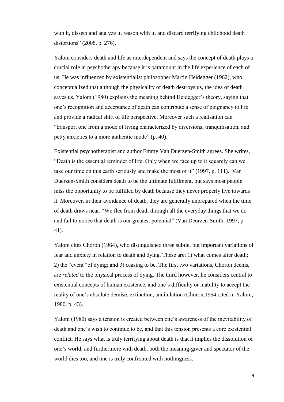with it, dissect and analyze it, reason with it, and discard terrifying childhood death distortions" (2008, p. 276).

Yalom considers death and life as interdependent and says the concept of death plays a crucial role in psychotherapy because it is paramount in the life experience of each of us. He was influenced by existentialist philosopher Martin Heidegger (1962), who conceptualized that although the physicality of death destroys us, the idea of death saves us. Yalom (1980) explains the meaning behind Heidegger's theory, saying that one's recognition and acceptance of death can contribute a sense of poignancy to life and provide a radical shift of life perspective. Moreover such a realisation can "transport one from a mode of living characterized by diversions, tranquilisation, and petty anxieties to a more authentic mode" (p. 40).

Existential psychotherapist and author Emmy Van Duerzen-Smith agrees. She writes, "Death is the essential reminder of life. Only when we face up to it squarely can we take our time on this earth seriously and make the most of it" (1997, p. 111). Van Duerzen-Smith considers death to be the ultimate fulfilment, but says most people miss the opportunity to be fulfilled by death because they never properly live towards it. Moreover, in their avoidance of death, they are generally unprepared when the time of death draws near. "We flee from death through all the everyday things that we do and fail to notice that death is our greatest potential" (Van Deurzen-Smith, 1997, p. 41).

Yalom cites Choron (1964), who distinguished three subtle, but important variations of fear and anxiety in relation to death and dying. These are: 1) what comes after death; 2) the "event "of dying; and 3) ceasing to be. The first two variations, Choron deems, are *related* to the physical process of dying. The third however, he considers central to existential concepts of human existence, and one's difficulty or inability to accept the reality of one's absolute demise, extinction, annihilation (Choron,1964,cited in Yalom, 1980, p. 43).

Yalom (1980) says a tension is created between one's awareness of the inevitability of death and one's wish to continue to be, and that this tension presents a core existential conflict. He says what is truly terrifying about death is that it implies the dissolution of one's world, and furthermore with death, both the meaning-giver and spectator of the world dies too, and one is truly confronted with nothingness.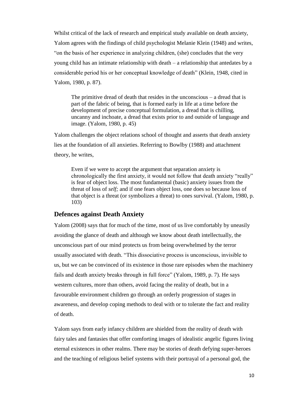Whilst critical of the lack of research and empirical study available on death anxiety, Yalom agrees with the findings of child psychologist Melanie Klein (1948) and writes, "on the basis of her experience in analyzing children, (she) concludes that the very young child has an intimate relationship with death – a relationship that antedates by a considerable period his or her conceptual knowledge of death" (Klein, 1948, cited in Yalom, 1980, p. 87).

The primitive dread of death that resides in the unconscious – a dread that is part of the fabric of being, that is formed early in life at a time before the development of precise conceptual formulation, a dread that is chilling, uncanny and inchoate, a dread that exists prior to and outside of language and image. (Yalom, 1980, p. 45)

Yalom challenges the object relations school of thought and asserts that death anxiety lies at the foundation of all anxieties. Referring to Bowlby (1988) and attachment theory, he writes,

Even if we were to accept the argument that separation anxiety is chronologically the first anxiety, it would not follow that death anxiety "really" is fear of object loss. The most fundamental (basic) anxiety issues from the threat of loss of *self;* and if one fears object loss, one does so because loss of that object is a threat (or symbolizes a threat) to ones survival. (Yalom, 1980, p. 103)

#### <span id="page-14-0"></span>**Defences against Death Anxiety**

Yalom (2008) says that for much of the time, most of us live comfortably by uneasily avoiding the glance of death and although we know about death intellectually, the unconscious part of our mind protects us from being overwhelmed by the terror usually associated with death. "This dissociative process is unconscious, invisible to us, but we can be convinced of its existence in those rare episodes when the machinery fails and death anxiety breaks through in full force" (Yalom, 1989, p. 7). He says western cultures, more than others, avoid facing the reality of death, but in a favourable environment children go through an orderly progression of stages in awareness, and develop coping methods to deal with or to tolerate the fact and reality of death.

Yalom says from early infancy children are shielded from the reality of death with fairy tales and fantasies that offer comforting images of idealistic angelic figures living eternal existences in other realms. There may be stories of death defying super-heroes and the teaching of religious belief systems with their portrayal of a personal god, the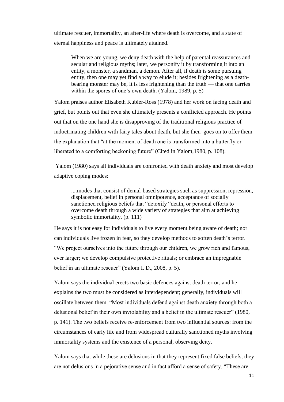ultimate rescuer, immortality, an after-life where death is overcome, and a state of eternal happiness and peace is ultimately attained.

When we are young, we deny death with the help of parental reassurances and secular and religious myths; later, we personify it by transforming it into an entity, a monster, a sandman, a demon. After all, if death is some pursuing entity, then one may yet find a way to elude it; besides frightening as a deathbearing monster may be, it is less frightening than the truth — that one carries within the spores of one's own death. (Yalom, 1989, p. 5)

Yalom praises author Elisabeth Kubler-Ross (1978) and her work on facing death and grief, but points out that even she ultimately presents a conflicted approach. He points out that on the one hand she is disapproving of the traditional religious practice of indoctrinating children with fairy tales about death, but she then goes on to offer them the explanation that "at the moment of death one is transformed into a butterfly or liberated to a comforting beckoning future" (Cited in Yalom, 1980, p. 108).

Yalom (1980) says all individuals are confronted with death anxiety and most develop adaptive coping modes:

....modes that consist of denial-based strategies such as suppression, repression, displacement, belief in personal omnipotence, acceptance of socially sanctioned religious beliefs that "detoxify "death, or personal efforts to overcome death through a wide variety of strategies that aim at achieving symbolic immortality. (p. 111)

He says it is not easy for individuals to live every moment being aware of death; nor can individuals live frozen in fear, so they develop methods to soften death's terror. "We project ourselves into the future through our children, we grow rich and famous, ever larger; we develop compulsive protective rituals; or embrace an impregnable belief in an ultimate rescuer" (Yalom I. D., 2008, p. 5).

Yalom says the individual erects two basic defences against death terror, and he explains the two must be considered as interdependent; generally, individuals will oscillate between them. "Most individuals defend against death anxiety through both a delusional belief in their own inviolability and a belief in the ultimate rescuer" (1980, p. 141). The two beliefs receive re-enforcement from two influential sources: from the circumstances of early life and from widespread culturally sanctioned myths involving immortality systems and the existence of a personal, observing deity.

Yalom says that while these are delusions in that they represent fixed false beliefs, they are not delusions in a pejorative sense and in fact afford a sense of safety. "These are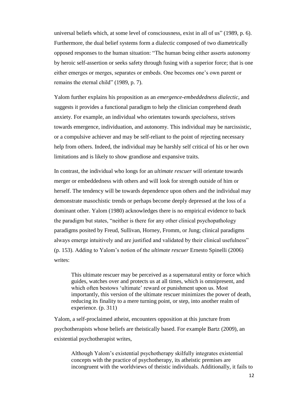universal beliefs which, at some level of consciousness, exist in all of us" (1989, p. 6). Furthermore, the dual belief systems form a dialectic composed of two diametrically opposed responses to the human situation: "The human being either asserts autonomy by heroic self-assertion or seeks safety through fusing with a superior force; that is one either emerges or merges, separates or embeds. One becomes one's own parent or remains the eternal child" (1989, p. 7).

Yalom further explains his proposition as an *emergence-embeddedness dialectic*, and suggests it provides a functional paradigm to help the clinician comprehend death anxiety. For example, an individual who orientates towards *specialness*, strives towards emergence, individuation, and autonomy. This individual may be narcissistic, or a compulsive achiever and may be self-reliant to the point of rejecting necessary help from others. Indeed, the individual may be harshly self critical of his or her own limitations and is likely to show grandiose and expansive traits.

In contrast, the individual who longs for an *ultimate rescuer* will orientate towards merger or embeddedness with others and will look for strength outside of him or herself. The tendency will be towards dependence upon others and the individual may demonstrate masochistic trends or perhaps become deeply depressed at the loss of a dominant other. Yalom (1980) acknowledges there is no empirical evidence to back the paradigm but states, "neither is there for any other clinical psychopathology paradigms posited by Freud, Sullivan, Horney, Fromm, or Jung; clinical paradigms always emerge intuitively and are justified and validated by their clinical usefulness" (p. 153). Adding to Yalom's notion of the *ultimate rescuer* Ernesto Spinelli (2006) writes:

This ultimate rescuer may be perceived as a supernatural entity or force which guides, watches over and protects us at all times, which is omnipresent, and which often bestows 'ultimate' reward or punishment upon us. Most importantly, this version of the ultimate rescuer minimizes the power of death, reducing its finality to a mere turning point, or step, into another realm of experience. (p. 311)

Yalom, a self-proclaimed atheist, encounters opposition at this juncture from psychotherapists whose beliefs are theistically based. For example Bartz (2009), an existential psychotherapist writes,

Although Yalom's existential psychotherapy skilfully integrates existential concepts with the practice of psychotherapy, its atheistic premises are incongruent with the worldviews of theistic individuals. Additionally, it fails to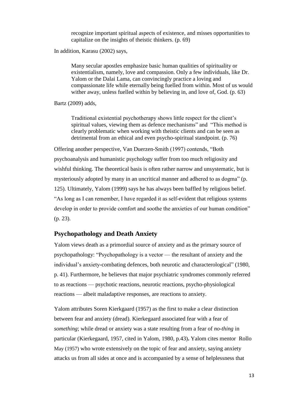recognize important spiritual aspects of existence, and misses opportunities to capitalize on the insights of theistic thinkers. (p. 69)

In addition, Karasu (2002) says,

Many secular apostles emphasize basic human qualities of spirituality or existentialism, namely, love and compassion. Only a few individuals, like Dr. Yalom or the Dalai Lama, can convincingly practice a loving and compassionate life while eternally being fuelled from within. Most of us would wither away, unless fuelled within by believing in, and love of, God. (p. 63)

Bartz (2009) adds,

Traditional existential psychotherapy shows little respect for the client's spiritual values, viewing them as defence mechanisms" and "This method is clearly problematic when working with theistic clients and can be seen as detrimental from an ethical and even psycho-spiritual standpoint. (p. 76)

Offering another perspective, Van Duerzen-Smith (1997) contends, "Both psychoanalysis and humanistic psychology suffer from too much religiosity and wishful thinking. The theoretical basis is often rather narrow and unsystematic, but is mysteriously adopted by many in an uncritical manner and adhered to as dogma" (p. 125). Ultimately, Yalom (1999) says he has always been baffled by religious belief. "As long as I can remember, I have regarded it as self-evident that religious systems develop in order to provide comfort and soothe the anxieties of our human condition" (p. 23).

# <span id="page-17-0"></span>**Psychopathology and Death Anxiety**

Yalom views death as a primordial source of anxiety and as the primary source of psychopathology: "Psychopathology is a vector — the resultant of anxiety and the individual's anxiety-combating defences, both neurotic and characterological" (1980, p. 41). Furthermore, he believes that major psychiatric syndromes commonly referred to as reactions — psychotic reactions, neurotic reactions, psycho-physiological reactions — albeit maladaptive responses, are reactions to anxiety.

Yalom attributes Soren Kierkgaard (1957) as the first to make a clear distinction between fear and anxiety (dread). Kierkegaard associated fear with a fear of *something*; while dread or anxiety was a state resulting from a fear of *no-thing* in particular (Kierkegaard, 1957, cited in Yalom, 1980, p.43)**.** Yalom cites mentor Rollo May (1957) who wrote extensively on the topic of fear and anxiety, saying anxiety attacks us from all sides at once and is accompanied by a sense of helplessness that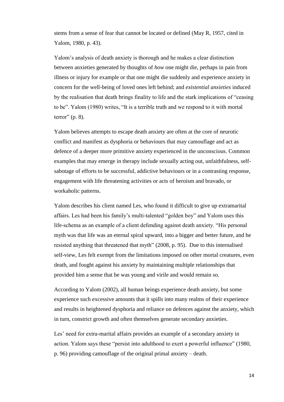stems from a sense of fear that cannot be located or defined (May R, 1957, cited in Yalom, 1980, p. 43).

Yalom's analysis of death anxiety is thorough and he makes a clear distinction between anxieties generated by thoughts of *how* one might die, perhaps in pain from illness or injury for example or that one might die suddenly and experience anxiety in concern for the well-being of loved ones left behind; and *existential anxieties* induced by the realisation that death brings finality to life and the stark implications of "ceasing to be". Yalom (1980) writes, "It is a terrible truth and we respond to it with mortal terror"  $(p. 8)$ .

Yalom believes attempts to escape death anxiety are often at the core of neurotic conflict and manifest as dysphoria or behaviours that may camouflage and act as defence of a deeper more primitive anxiety experienced in the unconscious. Common examples that may emerge in therapy include sexually acting out, unfaithfulness, selfsabotage of efforts to be successful, addictive behaviours or in a contrasting response, engagement with life threatening activities or acts of heroism and bravado, or workaholic patterns.

Yalom describes his client named Les, who found it difficult to give up extramarital affairs. Les had been his family's multi-talented "golden boy" and Yalom uses this life-schema as an example of a client defending against death anxiety. "His personal myth was that life was an eternal spiral upward, into a bigger and better future, and he resisted anything that threatened that myth" (2008, p. 95). Due to this internalised self-view, Les felt exempt from the limitations imposed on other mortal creatures, even death, and fought against his anxiety by maintaining multiple relationships that provided him a sense that he was young and virile and would remain so.

According to Yalom (2002), all human beings experience death anxiety, but some experience such excessive amounts that it spills into many realms of their experience and results in heightened dysphoria and reliance on defences against the anxiety, which in turn, constrict growth and often themselves generate secondary anxieties.

Les' need for extra-marital affairs provides an example of a secondary anxiety in action. Yalom says these "persist into adulthood to exert a powerful influence" (1980, p. 96) providing camouflage of the original primal anxiety – death.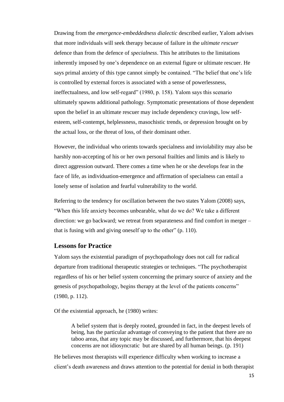Drawing from the *emergence-embeddedness dialectic* described earlier, Yalom advises that more individuals will seek therapy because of failure in the *ultimate rescuer*  defence than from the defence of *specialness*. This he attributes to the limitations inherently imposed by one's dependence on an external figure or ultimate rescuer. He says primal anxiety of this type cannot simply be contained. "The belief that one's life is controlled by external forces is associated with a sense of powerlessness, ineffectualness, and low self-regard" (1980, p. 158). Yalom says this scenario ultimately spawns additional pathology. Symptomatic presentations of those dependent upon the belief in an ultimate rescuer may include dependency cravings, low selfesteem, self-contempt, helplessness, masochistic trends, or depression brought on by the actual loss, or the threat of loss, of their dominant other.

However, the individual who orients towards specialness and inviolability may also be harshly non-accepting of his or her own personal frailties and limits and is likely to direct aggression outward. There comes a time when he or she develops fear in the face of life, as individuation-emergence and affirmation of specialness can entail a lonely sense of isolation and fearful vulnerability to the world.

Referring to the tendency for oscillation between the two states Yalom (2008) says, "When this life anxiety becomes unbearable, what do we do? We take a different direction: we go backward; we retreat from separateness and find comfort in merger – that is fusing with and giving oneself up to the other" (p. 110).

## <span id="page-19-0"></span>**Lessons for Practice**

Yalom says the existential paradigm of psychopathology does not call for radical departure from traditional therapeutic strategies or techniques. "The psychotherapist regardless of his or her belief system concerning the primary source of anxiety and the genesis of psychopathology, begins therapy at the level of the patients concerns" (1980, p. 112).

Of the existential approach, he (1980) writes:

A belief system that is deeply rooted, grounded in fact, in the deepest levels of being, has the particular advantage of conveying to the patient that there are no taboo areas, that any topic may be discussed, and furthermore, that his deepest concerns are not idiosyncratic but are shared by all human beings. (p. 191)

He believes most therapists will experience difficulty when working to increase a client's death awareness and draws attention to the potential for denial in both therapist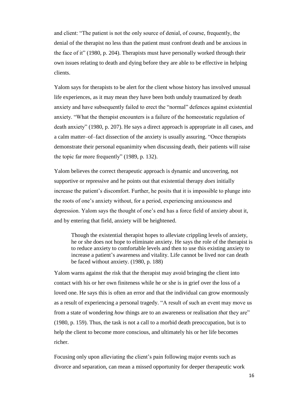and client: "The patient is not the only source of denial, of course, frequently, the denial of the therapist no less than the patient must confront death and be anxious in the face of it" (1980, p. 204). Therapists must have personally worked through their own issues relating to death and dying before they are able to be effective in helping clients.

Yalom says for therapists to be alert for the client whose history has involved unusual life experiences, as it may mean they have been both unduly traumatized by death anxiety and have subsequently failed to erect the "normal" defences against existential anxiety. "What the therapist encounters is a failure of the homeostatic regulation of death anxiety" (1980, p. 207). He says a direct approach is appropriate in all cases, and a calm matter–of–fact dissection of the anxiety is usually assuring. "Once therapists demonstrate their personal equanimity when discussing death, their patients will raise the topic far more frequently" (1989, p. 132).

Yalom believes the correct therapeutic approach is dynamic and uncovering, not supportive or repressive and he points out that existential therapy *does* initially increase the patient's discomfort. Further, he posits that it is impossible to plunge into the roots of one's anxiety without, for a period, experiencing anxiousness and depression. Yalom says the thought of one's end has a force field of anxiety about it, and by entering that field, anxiety will be heightened.

Though the existential therapist hopes to alleviate crippling levels of anxiety, he or she does not hope to eliminate anxiety. He says the role of the therapist is to reduce anxiety to comfortable levels and then to use this existing anxiety to increase a patient's awareness and vitality. Life cannot be lived nor can death be faced without anxiety. (1980, p. 188)

Yalom warns against the risk that the therapist may avoid bringing the client into contact with his or her own finiteness while he or she is in grief over the loss of a loved one. He says this is often an error and that the individual can grow enormously as a result of experiencing a personal tragedy. "A result of such an event may move us from a state of wondering *how* things are to an awareness or realisation *that* they are" (1980, p. 159). Thus, the task is not a call to a morbid death preoccupation, but is to help the client to become more conscious, and ultimately his or her life becomes richer.

Focusing only upon alleviating the client's pain following major events such as divorce and separation, can mean a missed opportunity for deeper therapeutic work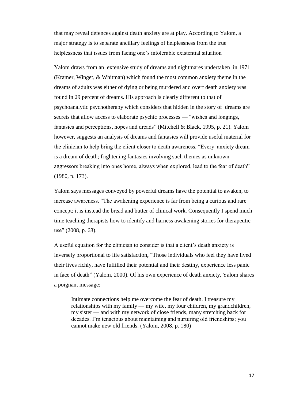that may reveal defences against death anxiety are at play. According to Yalom, a major strategy is to separate ancillary feelings of helplessness from the true helplessness that issues from facing one's intolerable existential situation

Yalom draws from an extensive study of dreams and nightmares undertaken in 1971 (Kramer, Winget, & Whitman) which found the most common anxiety theme in the dreams of adults was either of dying or being murdered and overt death anxiety was found in 29 percent of dreams. His approach is clearly different to that of psychoanalytic psychotherapy which considers that hidden in the story of dreams are secrets that allow access to elaborate psychic processes — "wishes and longings, fantasies and perceptions, hopes and dreads" (Mitchell & Black, 1995, p. 21). Yalom however, suggests an analysis of dreams and fantasies will provide useful material for the clinician to help bring the client closer to death awareness. "Every anxiety dream is a dream of death; frightening fantasies involving such themes as unknown aggressors breaking into ones home, always when explored, lead to the fear of death" (1980, p. 173).

Yalom says messages conveyed by powerful dreams have the potential to awaken, to increase awareness. "The awakening experience is far from being a curious and rare concept; it is instead the bread and butter of clinical work. Consequently I spend much time teaching therapists how to identify and harness awakening stories for therapeutic use" (2008, p. 68).

A useful equation for the clinician to consider is that a client's death anxiety is inversely proportional to life satisfaction**,** "Those individuals who feel they have lived their lives richly, have fulfilled their potential and their destiny, experience less panic in face of death" (Yalom, 2000). Of his own experience of death anxiety, Yalom shares a poignant message:

Intimate connections help me overcome the fear of death. I treasure my relationships with my family — my wife, my four children, my grandchildren, my sister — and with my network of close friends, many stretching back for decades. I'm tenacious about maintaining and nurturing old friendships; you cannot make new old friends. (Yalom, 2008, p. 180)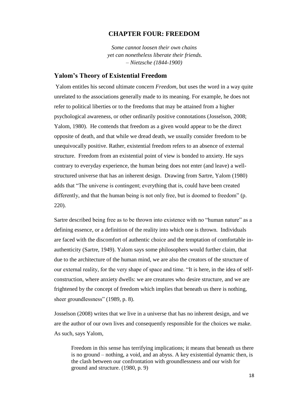## **CHAPTER FOUR: FREEDOM**

*Some cannot loosen their own chains yet can nonetheless liberate their friends. – Nietzsche (1844-1900)*

#### <span id="page-22-1"></span><span id="page-22-0"></span>**Yalom's Theory of Existential Freedom**

Yalom entitles his second ultimate concern *Freedom,* but uses the word in a way quite unrelated to the associations generally made to its meaning. For example, he does not refer to political liberties or to the freedoms that may be attained from a higher psychological awareness, or other ordinarily positive connotations (Josselson, 2008; Yalom, 1980). He contends that freedom as a given would appear to be the direct opposite of death, and that while we dread death, we usually consider freedom to be unequivocally positive. Rather, existential freedom refers to an absence of external structure. Freedom from an existential point of view is bonded to anxiety. He says contrary to everyday experience, the human being does not enter (and leave) a wellstructured universe that has an inherent design. Drawing from Sartre, Yalom (1980) adds that "The universe is contingent; everything that is, could have been created differently, and that the human being is not only free, but is doomed to freedom" (p. 220).

Sartre described being free as to be thrown into existence with no "human nature" as a defining essence, or a definition of the reality into which one is thrown. Individuals are faced with the discomfort of authentic choice and the temptation of comfortable inauthenticity (Sartre, 1949). Yalom says some philosophers would further claim, that due to the architecture of the human mind, we are also the creators of the structure of our external reality, for the very shape of space and time. "It is here, in the idea of selfconstruction, where anxiety dwells: we are creatures who desire structure, and we are frightened by the concept of freedom which implies that beneath us there is nothing, sheer groundlessness" (1989, p. 8).

Josselson (2008) writes that we live in a universe that has no inherent design, and we are the author of our own lives and consequently responsible for the choices we make. As such, says Yalom,

Freedom in this sense has terrifying implications; it means that beneath us there is no ground – nothing, a void, and an abyss. A key existential dynamic then, is the clash between our confrontation with groundlessness and our wish for ground and structure. (1980, p. 9)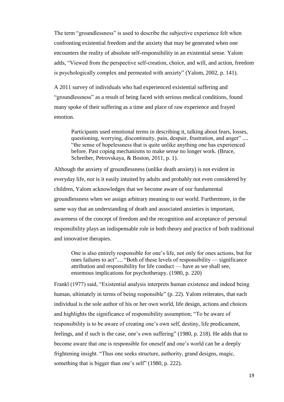The term "groundlessness" is used to describe the subjective experience felt when confronting existential freedom and the anxiety that may be generated when one encounters the reality of absolute self-responsibility in an existential sense. Yalom adds, "Viewed from the perspective self-creation, choice, and will, and action, freedom is psychologically complex and permeated with anxiety" (Yalom, 2002, p. 141).

A 2011 survey of individuals who had experienced existential suffering and "groundlessness" as a result of being faced with serious medical conditions, found many spoke of their suffering as a time and place of raw experience and frayed emotion.

Participants used emotional terms in describing it, talking about fears, losses, questioning, worrying, discontinuity, pain, despair, frustration, and anger" .... "the sense of hopelessness that is quite unlike anything one has experienced before. Past coping mechanisms to make sense no longer work. (Bruce, Schreiber, Petrovskaya, & Boston, 2011, p. 1).

Although the anxiety of groundlessness (unlike death anxiety) is not evident in everyday life, nor is it easily intuited by adults and probably not even considered by children, Yalom acknowledges that we become aware of our fundamental groundlessness when we assign arbitrary meaning to our world. Furthermore, in the same way that an understanding of death and associated anxieties is important, awareness of the concept of freedom and the recognition and acceptance of personal responsibility plays an indispensable role in both theory and practice of both traditional and innovative therapies.

One is also entirely responsible for one's life, not only for ones actions, but for ones failures to act".... "Both of these levels of responsibility — significance attribution and responsibility for life conduct — have as we shall see, enormous implications for psychotherapy. (1980, p. 220)

Frankl (1977) said, "Existential analysis interprets human existence and indeed being human, ultimately in terms of being responsible" (p. 22). Yalom reiterates, that each individual is the sole author of his or her own world, life design, actions and choices and highlights the significance of responsibility assumption; "To be aware of responsibility is to be aware of creating one's own self, destiny, life predicament, feelings, and if such is the case, one's own suffering" (1980, p. 218). He adds that to become aware that one is responsible for oneself and one's world can be a deeply frightening insight. "Thus one seeks structure, authority, grand designs, magic, something that is bigger than one's self" (1980, p. 222).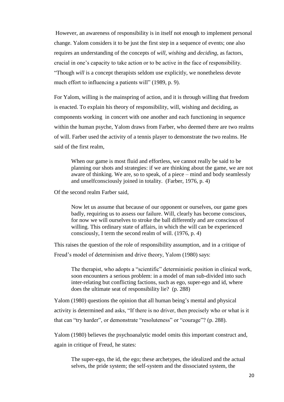However, an awareness of responsibility is in itself not enough to implement personal change. Yalom considers it to be just the first step in a sequence of events; one also requires an understanding of the concepts of *will, wishing* and *deciding*, as factors, crucial in one's capacity to take action or to be active in the face of responsibility. "Though *will* is a concept therapists seldom use explicitly, we nonetheless devote much effort to influencing a patients will" (1989, p. 9).

For Yalom, willing is the mainspring of action, and it is through willing that freedom is enacted. To explain his theory of responsibility, will, wishing and deciding, as components working in concert with one another and each functioning in sequence within the human psyche, Yalom draws from Farber, who deemed there are two realms of will. Farber used the activity of a tennis player to demonstrate the two realms. He said of the first realm,

When our game is most fluid and effortless, we cannot really be said to be planning our shots and strategies: if we are thinking about the game, we are not aware of thinking. We are, so to speak, of a piece – mind and body seamlessly and unselfconsciously joined in totality. (Farber, 1976, p. 4)

Of the second realm Farber said,

Now let us assume that because of our opponent or ourselves, our game goes badly, requiring us to assess our failure. Will, clearly has become conscious, for now we will ourselves to stroke the ball differently and are conscious of willing. This ordinary state of affairs, in which the will can be experienced consciously, I term the second realm of will. (1976, p. 4)

This raises the question of the role of responsibility assumption, and in a critique of

Freud's model of determinism and drive theory, Yalom (1980) says:

The therapist, who adopts a "scientific" deterministic position in clinical work, soon encounters a serious problem: in a model of man sub-divided into such inter-relating but conflicting factions, such as ego, super-ego and id, where does the ultimate seat of responsibility lie? (p. 288)

Yalom (1980) questions the opinion that all human being's mental and physical activity is determined and asks, "If there is no driver, then precisely who or what is it that can "try harder", or demonstrate "resoluteness" or "courage"? (p. 288).

Yalom (1980) believes the psychoanalytic model omits this important construct and, again in critique of Freud, he states:

The super-ego, the id, the ego; these archetypes, the idealized and the actual selves, the pride system; the self-system and the dissociated system, the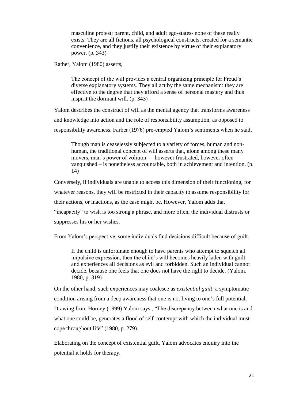masculine protest; parent, child, and adult ego-states- none of these really exists. They are all fictions, all psychological constructs, created for a semantic convenience, and they justify their existence by virtue of their explanatory power. (p. 343)

Rather, Yalom (1980) asserts,

The concept of the will provides a central organizing principle for Freud's diverse explanatory systems. They all act by the same mechanism: they are effective to the degree that they afford a sense of personal mastery and thus inspirit the dormant will. (p. 343)

Yalom describes the construct of will as the mental agency that transforms awareness and knowledge into action and the role of responsibility assumption, as opposed to responsibility awareness. Farber (1976) pre-empted Yalom's sentiments when he said,

Though man is ceaselessly subjected to a variety of forces, human and nonhuman, the traditional concept of will asserts that, alone among these many movers, man's power of volition — however frustrated, however often vanquished – is nonetheless accountable, both in achievement and intention. (p. 14)

Conversely, if individuals are unable to access this dimension of their functioning, for whatever reasons, they will be restricted in their capacity to assume responsibility for their actions, or inactions, as the case might be. However, Yalom adds that "incapacity" to wish is too strong a phrase, and more often, the individual distrusts or suppresses his or her wishes.

From Yalom's perspective, some individuals find decisions difficult because of guilt.

If the child is unfortunate enough to have parents who attempt to squelch all impulsive expression, then the child's will becomes heavily laden with guilt and experiences all decisions as evil and forbidden. Such an individual cannot decide, because one feels that one does not have the right to decide. (Yalom, 1980, p. 319)

On the other hand, such experiences may coalesce as *existential guilt*; a symptomatic condition arising from a deep awareness that one is not living to one's full potential. Drawing from Horney (1999) Yalom says , "The discrepancy between what one is and what one could be, generates a flood of self-contempt with which the individual must cope throughout life" (1980, p. 279).

Elaborating on the concept of existential guilt, Yalom advocates enquiry into the potential it holds for therapy.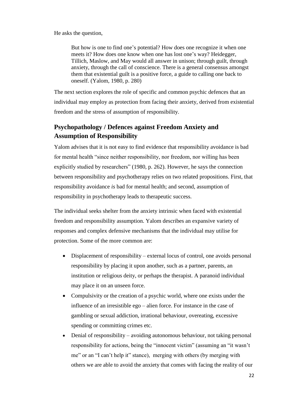He asks the question,

But how is one to find one's potential? How does one recognize it when one meets it? How does one know when one has lost one's way? Heidegger, Tillich, Maslow, and May would all answer in unison; through guilt, through anxiety, through the call of conscience. There is a general consensus amongst them that existential guilt is a positive force, a guide to calling one back to oneself. (Yalom, 1980, p. 280)

The next section explores the role of specific and common psychic defences that an individual may employ as protection from facing their anxiety, derived from existential freedom and the stress of assumption of responsibility.

# <span id="page-26-0"></span>**Psychopathology / Defences against Freedom Anxiety and Assumption of Responsibility**

Yalom advises that it is not easy to find evidence that responsibility avoidance is bad for mental health "since neither responsibility, nor freedom, nor willing has been explicitly studied by researchers" (1980, p. 262). However, he says the connection between responsibility and psychotherapy relies on two related propositions. First, that responsibility avoidance *is* bad for mental health; and second, assumption of responsibility in psychotherapy leads to therapeutic success.

The individual seeks shelter from the anxiety intrinsic when faced with existential freedom and responsibility assumption. Yalom describes an expansive variety of responses and complex defensive mechanisms that the individual may utilise for protection. Some of the more common are:

- Displacement of responsibility external locus of control, one avoids personal responsibility by placing it upon another, such as a partner, parents, an institution or religious deity, or perhaps the therapist. A paranoid individual may place it on an unseen force.
- Compulsivity or the creation of a psychic world, where one exists under the influence of an irresistible ego – alien force. For instance in the case of gambling or sexual addiction, irrational behaviour, overeating, excessive spending or committing crimes etc.
- Denial of responsibility avoiding autonomous behaviour, not taking personal responsibility for actions, being the "innocent victim" (assuming an "it wasn't me" or an "I can't help it" stance), merging with others (by merging with others we are able to avoid the anxiety that comes with facing the reality of our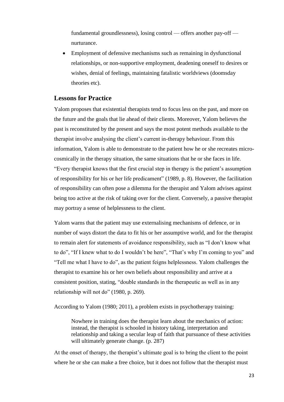fundamental groundlessness), losing control — offers another pay-off nurturance.

 Employment of defensive mechanisms such as remaining in dysfunctional relationships, or non-supportive employment, deadening oneself to desires or wishes, denial of feelings, maintaining fatalistic worldviews (doomsday theories etc).

## <span id="page-27-0"></span>**Lessons for Practice**

Yalom proposes that existential therapists tend to focus less on the past, and more on the future and the goals that lie ahead of their clients. Moreover, Yalom believes the past is reconstituted by the present and says the most potent methods available to the therapist involve analysing the client's current in-therapy behaviour. From this information, Yalom is able to demonstrate to the patient how he or she recreates microcosmically in the therapy situation, the same situations that he or she faces in life. "Every therapist knows that the first crucial step in therapy is the patient's assumption of responsibility for his or her life predicament" (1989, p. 8). However, the facilitation of responsibility can often pose a dilemma for the therapist and Yalom advises against being too active at the risk of taking over for the client. Conversely, a passive therapist may portray a sense of helplessness to the client.

Yalom warns that the patient may use externalising mechanisms of defence, or in number of ways distort the data to fit his or her assumptive world, and for the therapist to remain alert for statements of avoidance responsibility, such as "I don't know what to do", "If I knew what to do I wouldn't be here", "That's why I'm coming to you" and "Tell me what I have to do", as the patient feigns helplessness. Yalom challenges the therapist to examine his or her own beliefs about responsibility and arrive at a consistent position, stating, "double standards in the therapeutic as well as in any relationship will not do" (1980, p. 269).

According to Yalom (1980; 2011), a problem exists in psychotherapy training:

Nowhere in training does the therapist learn about the mechanics of action: instead, the therapist is schooled in history taking, interpretation and relationship and taking a secular leap of faith that pursuance of these activities will ultimately generate change. (p. 287)

At the onset of therapy, the therapist's ultimate goal is to bring the client to the point where he or she can make a free choice, but it does not follow that the therapist must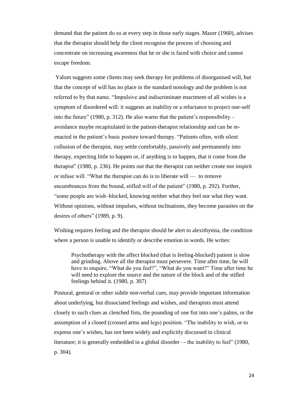demand that the patient do so at every step in those early stages. Mazer (1960), advises that the therapist should help the client recognise the process of choosing and concentrate on increasing awareness that he or she is faced with choice and cannot escape freedom.

Yalom suggests some clients may seek therapy for problems of disorganised will, but that the concept of will has no place in the standard nosology and the problem is not referred to by that name. "Impulsive and indiscriminate enactment of all wishes is a symptom of disordered will: it suggests an inability or a reluctance to project one-self into the future" (1980, p. 312). He also warns that the patient's responsibility – avoidance maybe recapitulated in the patient-therapist relationship and can be reenacted in the patient's basic posture toward therapy. "Patients often, with silent collusion of the therapist, may settle comfortably, passively and permanently into therapy, expecting little to happen or, if anything is to happen, that it come from the therapist" (1980, p. 236). He points out that the therapist can neither create nor inspirit or infuse will. "What the therapist can do is to liberate will — to remove encumbrances from the bound, stifled will of the patient" (1980, p. 292). Further, "some people are wish–blocked, knowing neither what they feel nor what they want. Without opinions, without impulses, without inclinations, they become parasites on the desires of others" (1989, p. 9).

Wishing requires feeling and the therapist should be alert to alexithymia, the condition where a person is unable to identify or describe emotion in words. He writes:

Psychotherapy with the affect blocked (that is feeling-blocked) patient is slow and grinding. Above all the therapist must persevere. Time after time, he will have to enquire, "What do you feel?", "What do you want?" Time after time he will need to explore the source and the nature of the block and of the stifled feelings behind it. (1980, p. 307)

Postural, gestural or other subtle non-verbal cues, may provide important information about underlying, but dissociated feelings and wishes, and therapists must attend closely to such clues as clenched fists, the pounding of one fist into one's palms, or the assumption of a closed (crossed arms and legs) position. "The inability to wish, or to express one's wishes, has not been widely and explicitly discussed in clinical literature; it is generally embedded in a global disorder –- the inability to feel" (1980, p. 304).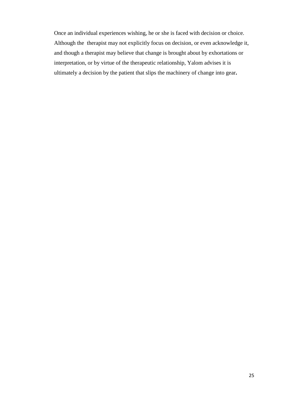Once an individual experiences wishing, he or she is faced with decision or choice. Although the therapist may not explicitly focus on decision, or even acknowledge it, and though a therapist may believe that change is brought about by exhortations or interpretation, or by virtue of the therapeutic relationship, Yalom advises it is ultimately a decision by the patient that slips the machinery of change into gear**.**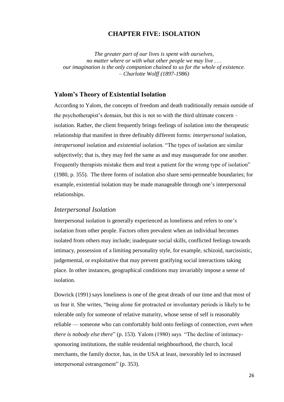## **CHAPTER FIVE: ISOLATION**

<span id="page-30-0"></span>*The greater part of our lives is spent with ourselves, no matter where or with what other people we may live . . . our imagination is the only companion chained to us for the whole of existence. – Charlotte Wolff (1897-1986)*

#### <span id="page-30-1"></span>**Yalom's Theory of Existential Isolation**

According to Yalom, the concepts of freedom and death traditionally remain outside of the psychotherapist's domain, but this is not so with the third ultimate concern – isolation. Rather, the client frequently brings feelings of isolation into the therapeutic relationship that manifest in three definably different forms: *interpersonal* isolation, *intrapersonal* isolation and *existential* isolation. "The types of isolation are similar subjectively; that is, they may feel the same as and may masquerade for one another. Frequently therapists mistake them and treat a patient for the wrong type of isolation" (1980, p. 355). The three forms of isolation also share semi-permeable boundaries; for example, existential isolation may be made manageable through one's interpersonal relationships.

#### <span id="page-30-2"></span>*Interpersonal Isolation*

Interpersonal isolation is generally experienced as loneliness and refers to one's isolation from other people. Factors often prevalent when an individual becomes isolated from others may include; inadequate social skills, conflicted feelings towards intimacy, possession of a limiting personality style, for example, schizoid, narcissistic, judgemental, or exploitative that may prevent gratifying social interactions taking place. In other instances, geographical conditions may invariably impose a sense of isolation.

Dowrick (1991) says loneliness is one of the great dreads of our time and that most of us fear it. She writes, "being alone for protracted or involuntary periods is likely to be tolerable only for someone of relative maturity, whose sense of self is reasonably reliable — someone who can comfortably hold onto feelings of connection, *even when there is nobody else there*" (p. 153). Yalom (1980) says "The decline of intimacysponsoring institutions, the stable residential neighbourhood, the church, local merchants, the family doctor, has, in the USA at least, inexorably led to increased interpersonal estrangement" (p. 353).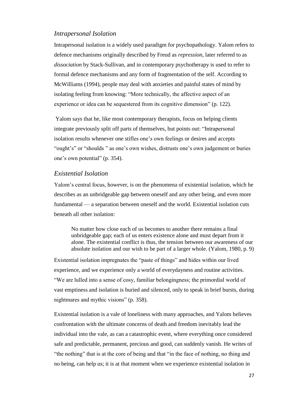#### <span id="page-31-0"></span>*Intrapersonal Isolation*

Intrapersonal isolation is a widely used paradigm for psychopathology. Yalom refers to defence mechanisms originally described by Freud as *repression*, later referred to as *dissociation* by Stack-Sullivan, and in contemporary psychotherapy is used to refer to formal defence mechanisms and any form of fragmentation of the self. According to McWilliams (1994), people may deal with anxieties and painful states of mind by isolating feeling from knowing: "More technically, the affective aspect of an experience or idea can be sequestered from its cognitive dimension" (p. 122).

Yalom says that he, like most contemporary therapists, focus on helping clients integrate previously split off parts of themselves, but points out: "Intrapersonal isolation results whenever one stifles one's own feelings or desires and accepts "ought's" or "shoulds " as one's own wishes, distrusts one's own judgement or buries one's own potential" (p. 354).

## <span id="page-31-1"></span>*Existential Isolation*

Yalom's central focus, however, is on the phenomena of existential isolation, which he describes as an unbridgeable gap between oneself and any other being, and even more fundamental — a separation between oneself and the world. Existential isolation cuts beneath all other isolation:

No matter how close each of us becomes to another there remains a final unbridgeable gap; each of us enters existence alone and must depart from it alone. The existential conflict is thus, the tension between our awareness of our absolute isolation and our wish to be part of a larger whole. (Yalom, 1980, p. 9)

Existential isolation impregnates the "paste of things" and hides within our lived experience, and we experience only a world of everydayness and routine activities. "We are lulled into a sense of cosy, familiar belongingness; the primordial world of vast emptiness and isolation is buried and silenced, only to speak in brief bursts, during nightmares and mythic visions" (p. 358).

Existential isolation is a vale of loneliness with many approaches, and Yalom believes confrontation with the ultimate concerns of death and freedom inevitably lead the individual into the vale, as can a catastrophic event, where everything once considered safe and predictable, permanent, precious and good, can suddenly vanish. He writes of "the nothing" that is at the core of being and that "in the face of nothing, no thing and no being, can help us; it is at that moment when we experience existential isolation in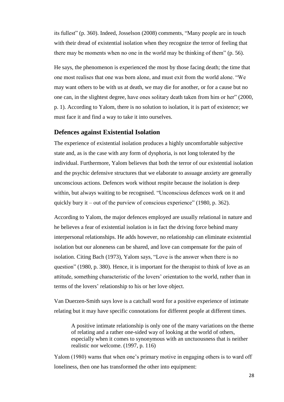its fullest" (p. 360). Indeed, Josselson (2008) comments, "Many people are in touch with their dread of existential isolation when they recognize the terror of feeling that there may be moments when no one in the world may be thinking of them" (p. 56).

He says, the phenomenon is experienced the most by those facing death; the time that one most realises that one was born alone, and must exit from the world alone. "We may want others to be with us at death, we may die for another, or for a cause but no one can, in the slightest degree, have ones solitary death taken from him or her" (2000, p. 1). According to Yalom, there is no solution to isolation, it is part of existence; we must face it and find a way to take it into ourselves.

#### <span id="page-32-0"></span>**Defences against Existential Isolation**

The experience of existential isolation produces a highly uncomfortable subjective state and, as is the case with any form of dysphoria, is not long tolerated by the individual. Furthermore, Yalom believes that both the terror of our existential isolation and the psychic defensive structures that we elaborate to assuage anxiety are generally unconscious actions. Defences work without respite because the isolation is deep within, but always waiting to be recognised. "Unconscious defences work on it and quickly bury it – out of the purview of conscious experience" (1980, p. 362).

According to Yalom, the major defences employed are usually relational in nature and he believes a fear of existential isolation is in fact the driving force behind many interpersonal relationships. He adds however, no relationship can eliminate existential isolation but our aloneness can be shared, and love can compensate for the pain of isolation. Citing Bach (1973), Yalom says, "Love is the answer when there is no question" (1980, p. 380). Hence, it is important for the therapist to think of love as an attitude, something characteristic of the lovers' orientation to the world, rather than in terms of the lovers' relationship to his or her love object.

Van Duerzen-Smith says love is a catchall word for a positive experience of intimate relating but it may have specific connotations for different people at different times.

A positive intimate relationship is only one of the many variations on the theme of relating and a rather one-sided way of looking at the world of others, especially when it comes to synonymous with an unctuousness that is neither realistic nor welcome. (1997, p. 116)

Yalom (1980) warns that when one's primary motive in engaging others is to ward off loneliness, then one has transformed the other into equipment: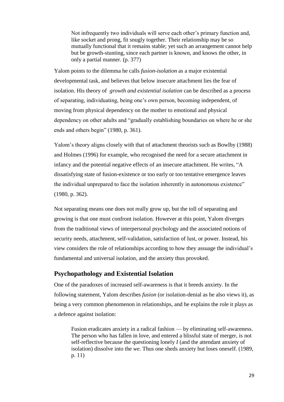Not infrequently two individuals will serve each other's primary function and, like socket and prong, fit snugly together. Their relationship may be so mutually functional that it remains stable; yet such an arrangement cannot help but be growth-stunting, since each partner is known, and knows the other, in only a partial manner. (p. 377)

Yalom points to the dilemma he calls *fusion-isolation* as a major existential developmental task, and believes that below insecure attachment lies the fear of isolation. His theory of *growth and existential isolation* can be described as a process of separating, individuating, being one's own person, becoming independent, of moving from physical dependency on the mother to emotional and physical dependency on other adults and "gradually establishing boundaries on where he or she ends and others begin" (1980, p. 361).

Yalom's theory aligns closely with that of attachment theorists such as Bowlby (1988) and Holmes (1996) for example, who recognised the need for a secure attachment in infancy and the potential negative effects of an insecure attachment. He writes, "A dissatisfying state of fusion-existence or too early or too tentative emergence leaves the individual unprepared to face the isolation inherently in autonomous existence" (1980, p. 362).

Not separating means one does not really grow up, but the toll of separating and growing is that one must confront isolation. However at this point, Yalom diverges from the traditional views of interpersonal psychology and the associated notions of security needs, attachment, self-validation, satisfaction of lust, or power. Instead, his view considers the role of relationships according to how they assuage the individual's fundamental and universal isolation, and the anxiety thus provoked.

# <span id="page-33-0"></span>**Psychopathology and Existential Isolation**

One of the paradoxes of increased self-awareness is that it breeds anxiety. In the following statement, Yalom describes *fusion* (or isolation-denial as he also views it), as being a very common phenomenon in relationships, and he explains the role it plays as a defence against isolation:

Fusion eradicates anxiety in a radical fashion — by eliminating self-awareness. The person who has fallen in love, and entered a blissful state of merger, is not self-reflective because the questioning lonely *I* (and the attendant anxiety of isolation) dissolve into the *we.* Thus one sheds anxiety but loses oneself. (1989, p. 11)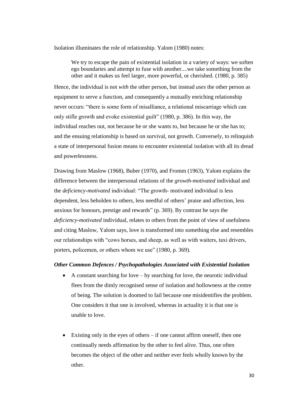Isolation illuminates the role of relationship. Yalom (1980) notes:

We try to escape the pain of existential isolation in a variety of ways: we soften ego boundaries and attempt to fuse with another....we take something from the other and it makes us feel larger, more powerful, or cherished. (1980, p. 385)

Hence, the individual is not *with* the other person, but instead *uses* the other person as equipment to serve a function, and consequently a mutually enriching relationship never occurs: "there is some form of misalliance, a relational miscarriage which can only stifle growth and evoke existential guilt" (1980, p. 386). In this way, the individual reaches out, not because he or she wants to, but because he or she has to; and the ensuing relationship is based on survival, not growth. Conversely, to relinquish a state of interpersonal fusion means to encounter existential isolation with all its dread and powerlessness.

Drawing from Maslow (1968), Buber (1970), and Fromm (1963), Yalom explains the difference between the interpersonal relations of the *growth-motivated* individual and the *deficiency-motivated* individual: "The growth- motivated individual is less dependent, less beholden to others, less needful of others' praise and affection, less anxious for honours, prestige and rewards" (p. 369). By contrast he says the *deficiency-motivated* individual, relates to others from the point of view of usefulness and citing Maslow, Yalom says, love is transformed into something else and resembles our relationships with "cows horses, and sheep, as well as with waiters, taxi drivers, porters, policemen, or others whom we use" (1980, p. 369).

#### <span id="page-34-0"></span>*Other Common Defences / Psychopathologies Associated with Existential Isolation*

- $\bullet$  A constant searching for love by searching for love, the neurotic individual flees from the dimly recognised sense of isolation and hollowness at the centre of being. The solution is doomed to fail because one misidentifies the problem. One considers it that one is involved, whereas in actuality it is that one is unable to love.
- $\bullet$  Existing only in the eyes of others if one cannot affirm oneself, then one continually needs affirmation by the other to feel alive. Thus, one often becomes the object of the other and neither ever feels wholly known by the other.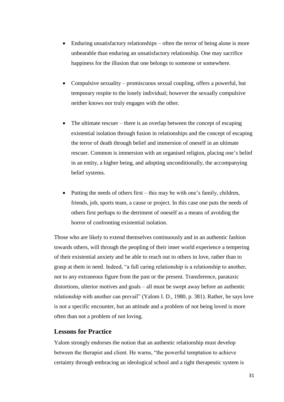- Enduring unsatisfactory relationships often the terror of being alone is more unbearable than enduring an unsatisfactory relationship. One may sacrifice happiness for the illusion that one belongs to someone or somewhere.
- Compulsive sexuality promiscuous sexual coupling, offers a powerful, but temporary respite to the lonely individual; however the sexually compulsive neither knows nor truly engages with the other.
- The ultimate rescuer there is an overlap between the concept of escaping existential isolation through fusion in relationships and the concept of escaping the terror of death through belief and immersion of oneself in an ultimate rescuer. Common is immersion with an organised religion, placing one's belief in an entity, a higher being, and adopting unconditionally, the accompanying belief systems.
- Putting the needs of others first this may be with one's family, children, friends, job, sports team, a cause or project. In this case one puts the needs of others first perhaps to the detriment of oneself as a means of avoiding the horror of confronting existential isolation.

Those who are likely to extend themselves continuously and in an authentic fashion towards others, will through the peopling of their inner world experience a tempering of their existential anxiety and be able to reach out to others in love, rather than to grasp at them in need. Indeed, "a full caring relationship is a relationship to another, not to any extraneous figure from the past or the present. Transference, parataxic distortions, ulterior motives and goals – all must be swept away before an authentic relationship with another can prevail" (Yalom I. D., 1980, p. 381). Rather, he says love is not a specific encounter, but an attitude and a problem of not being loved is more often than not a problem of not loving.

## <span id="page-35-0"></span>**Lessons for Practice**

Yalom strongly endorses the notion that an authentic relationship must develop between the therapist and client. He warns, "the powerful temptation to achieve certainty through embracing an ideological school and a tight therapeutic system is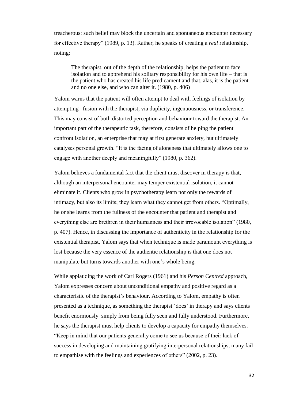treacherous: such belief may block the uncertain and spontaneous encounter necessary for effective therapy" (1989, p. 13). Rather, he speaks of creating a *real* relationship, noting:

The therapist, out of the depth of the relationship, helps the patient to face isolation and to apprehend his solitary responsibility for his own life – that is the patient who has created his life predicament and that, alas, it is the patient and no one else, and who can alter it. (1980, p. 406)

Yalom warns that the patient will often attempt to deal with feelings of isolation by attempting fusion with the therapist, via duplicity, ingenuousness, or transference. This may consist of both distorted perception and behaviour toward the therapist. An important part of the therapeutic task, therefore, consists of helping the patient confront isolation, an enterprise that may at first generate anxiety, but ultimately catalyses personal growth. "It is the facing of aloneness that ultimately allows one to engage with another deeply and meaningfully" (1980, p. 362).

Yalom believes a fundamental fact that the client must discover in therapy is that, although an interpersonal encounter may temper existential isolation, it cannot eliminate it. Clients who grow in psychotherapy learn not only the rewards of intimacy, but also its limits; they learn what they cannot get from others. "Optimally, he or she learns from the fullness of the encounter that patient and therapist and everything else are brethren in their humanness and their irrevocable isolation" (1980, p. 407). Hence, in discussing the importance of authenticity in the relationship for the existential therapist, Yalom says that when technique is made paramount everything is lost because the very essence of the authentic relationship is that one does not manipulate but turns towards another with one's whole being.

While applauding the work of Carl Rogers (1961) and his *Person Centred* approach, Yalom expresses concern about unconditional empathy and positive regard as a characteristic of the therapist's behaviour. According to Yalom, empathy is often presented as a technique, as something the therapist 'does' in therapy and says clients benefit enormously simply from being fully seen and fully understood. Furthermore, he says the therapist must help clients to develop a capacity for empathy themselves.

"Keep in mind that our patients generally come to see us because of their lack of success in developing and maintaining gratifying interpersonal relationships, many fail to empathise with the feelings and experiences of others" (2002, p. 23).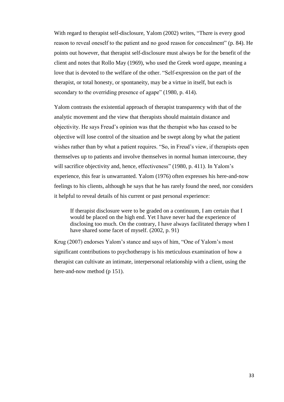With regard to therapist self-disclosure, Yalom (2002) writes, "There is every good reason to reveal oneself to the patient and no good reason for concealment" (p. 84). He points out however, that therapist self-disclosure must always be for the benefit of the client and notes that Rollo May (1969), who used the Greek word *agape*, meaning a love that is devoted to the welfare of the other. "Self-expression on the part of the therapist, or total honesty, or spontaneity, may be a virtue in itself, but each is secondary to the overriding presence of agape" (1980, p. 414).

Yalom contrasts the existential approach of therapist transparency with that of the analytic movement and the view that therapists should maintain distance and objectivity. He says Freud's opinion was that the therapist who has ceased to be objective will lose control of the situation and be swept along by what the patient wishes rather than by what a patient requires. "So, in Freud's view, if therapists open themselves up to patients and involve themselves in normal human intercourse, they will sacrifice objectivity and, hence, effectiveness" (1980, p. 411). In Yalom's experience, this fear is unwarranted. Yalom (1976) often expresses his here-and-now feelings to his clients, although he says that he has rarely found the need, nor considers it helpful to reveal details of his current or past personal experience:

If therapist disclosure were to be graded on a continuum, I am certain that I would be placed on the high end. Yet I have never had the experience of disclosing too much. On the contrary, I have always facilitated therapy when I have shared some facet of myself. (2002, p. 91)

Krug (2007) endorses Yalom's stance and says of him, "One of Yalom's most significant contributions to psychotherapy is his meticulous examination of how a therapist can cultivate an intimate, interpersonal relationship with a client, using the here-and-now method (p 151).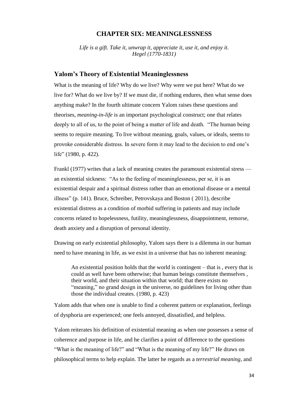### **CHAPTER SIX: MEANINGLESSNESS**

<span id="page-38-0"></span>*Life is a gift. Take it, unwrap it, appreciate it, use it, and enjoy it. Hegel (1770-1831)*

#### <span id="page-38-1"></span>**Yalom's Theory of Existential Meaninglessness**

What is the meaning of life? Why do we live? Why were we put here? What do we live for? What do we live by? If we must die, if nothing endures, then what sense does anything make? In the fourth ultimate concern Yalom raises these questions and theorises, *meaning-in-life* is an important psychological construct; one that relates deeply to all of us, to the point of being a matter of life and death. "The human being seems to require meaning. To live without meaning, goals, values, or ideals, seems to provoke considerable distress. In severe form it may lead to the decision to end one's life" (1980, p. 422).

Frankl (1977) writes that a lack of meaning creates the paramount existential stress an existential sickness: "As to the feeling of meaninglessness, per se, it is an existential despair and a spiritual distress rather than an emotional disease or a mental illness" (p. 141). Bruce, Schreiber, Petrovskaya and Boston ( 2011), describe existential distress as a condition of morbid suffering in patients and may include concerns related to hopelessness, futility, meaninglessness, disappointment, remorse, death anxiety and a disruption of personal identity.

Drawing on early existential philosophy, Yalom says there is a dilemma in our human need to have meaning in life, as we exist in a universe that has no inherent meaning:

An existential position holds that the world is contingent – that is , every that is could as well have been otherwise; that human beings constitute themselves , their world, and their situation within that world; that there exists no "meaning," no grand design in the universe, no guidelines for living other than those the individual creates. (1980, p. 423)

Yalom adds that when one is unable to find a coherent pattern or explanation, feelings of dysphoria are experienced; one feels annoyed, dissatisfied, and helpless.

Yalom reiterates his definition of existential meaning as when one possesses a sense of coherence and purpose in life, and he clarifies a point of difference to the questions "What is the meaning of life?" and "What is the meaning of my life?" He draws on philosophical terms to help explain. The latter he regards as a *terrestrial meaning*, and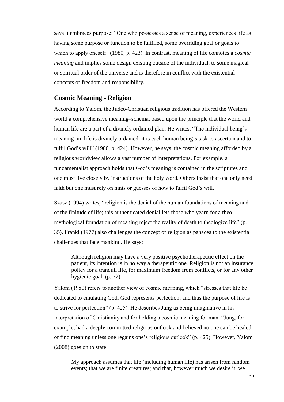says it embraces purpose: "One who possesses a sense of meaning, experiences life as having some purpose or function to be fulfilled, some overriding goal or goals to which to apply oneself" (1980, p. 423). In contrast, meaning of life connotes a *cosmic meaning* and implies some design existing outside of the individual, to some magical or spiritual order of the universe and is therefore in conflict with the existential concepts of freedom and responsibility.

## <span id="page-39-0"></span>**Cosmic Meaning - Religion**

According to Yalom, the Judeo-Christian religious tradition has offered the Western world a comprehensive meaning–schema, based upon the principle that the world and human life are a part of a divinely ordained plan. He writes, "The individual being's meaning–in–life is divinely ordained: it is each human being's task to ascertain and to fulfil God's will" (1980, p. 424). However, he says, the cosmic meaning afforded by a religious worldview allows a vast number of interpretations. For example, a fundamentalist approach holds that God's meaning is contained in the scriptures and one must live closely by instructions of the holy word. Others insist that one only need faith but one must rely on hints or guesses of how to fulfil God's will.

Szasz (1994) writes, "religion is the denial of the human foundations of meaning and of the finitude of life; this authenticated denial lets those who yearn for a theomythological foundation of meaning reject the reality of death to theologize life" (p. 35). Frankl (1977) also challenges the concept of religion as panacea to the existential challenges that face mankind. He says:

Although religion may have a very positive psychotherapeutic effect on the patient, its intention is in no way a therapeutic one. Religion is not an insurance policy for a tranquil life, for maximum freedom from conflicts, or for any other hygienic goal. (p. 72)

Yalom (1980) refers to another view of cosmic meaning, which "stresses that life be dedicated to emulating God. God represents perfection, and thus the purpose of life is to strive for perfection" (p. 425). He describes Jung as being imaginative in his interpretation of Christianity and for holding a cosmic meaning for man: "Jung, for example, had a deeply committed religious outlook and believed no one can be healed or find meaning unless one regains one's religious outlook" (p. 425). However, Yalom (2008) goes on to state:

My approach assumes that life (including human life) has arisen from random events; that we are finite creatures; and that, however much we desire it, we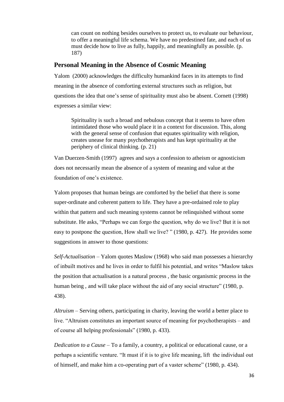can count on nothing besides ourselves to protect us, to evaluate our behaviour, to offer a meaningful life schema. We have no predestined fate, and each of us must decide how to live as fully, happily, and meaningfully as possible. (p. 187)

#### <span id="page-40-0"></span>**Personal Meaning in the Absence of Cosmic Meaning**

Yalom (2000) acknowledges the difficulty humankind faces in its attempts to find meaning in the absence of comforting external structures such as religion, but questions the idea that one's sense of spirituality must also be absent. Cornett (1998) expresses a similar view:

Spirituality is such a broad and nebulous concept that it seems to have often intimidated those who would place it in a context for discussion. This, along with the general sense of confusion that equates spirituality with religion, creates unease for many psychotherapists and has kept spirituality at the periphery of clinical thinking. (p. 21)

Van Duerzen-Smith (1997) agrees and says a confession to atheism or agnosticism does not necessarily mean the absence of a system of meaning and value at the foundation of one's existence.

Yalom proposes that human beings are comforted by the belief that there is some super-ordinate and coherent pattern to life. They have a pre-ordained role to play within that pattern and such meaning systems cannot be relinquished without some substitute. He asks, "Perhaps we can forgo the question, why do we live? But it is not easy to postpone the question, How shall we live? " (1980, p. 427). He provides some suggestions in answer to those questions:

*Self-Actualisation –* Yalom quotes Maslow (1968) who said man possesses a hierarchy of inbuilt motives and he lives in order to fulfil his potential, and writes "Maslow takes the position that actualisation is a natural process , the basic organismic process in the human being, and will take place without the aid of any social structure" (1980, p. 438).

*Altruism* – Serving others, participating in charity, leaving the world a better place to live. "Altruism constitutes an important source of meaning for psychotherapists – and of course all helping professionals" (1980, p. 433).

*Dedication to a Cause* – To a family, a country, a political or educational cause, or a perhaps a scientific venture. "It must if it is to give life meaning, lift the individual out of himself, and make him a co-operating part of a vaster scheme" (1980, p. 434).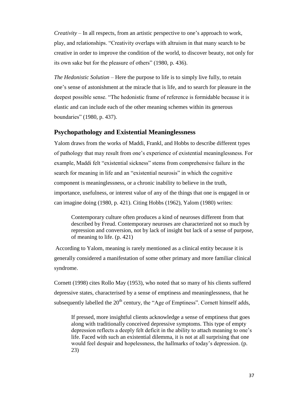*Creativity –* In all respects, from an artistic perspective to one's approach to work, play, and relationships. "Creativity overlaps with altruism in that many search to be creative in order to improve the condition of the world, to discover beauty, not only for its own sake but for the pleasure of others" (1980, p. 436).

*The Hedonistic Solution –* Here the purpose to life is to simply live fully, to retain one's sense of astonishment at the miracle that is life, and to search for pleasure in the deepest possible sense. "The hedonistic frame of reference is formidable because it is elastic and can include each of the other meaning schemes within its generous boundaries" (1980, p. 437).

## <span id="page-41-0"></span>**Psychopathology and Existential Meaninglessness**

Yalom draws from the works of Maddi, Frankl, and Hobbs to describe different types of pathology that may result from one's experience of existential meaninglessness. For example, Maddi felt "existential sickness" stems from comprehensive failure in the search for meaning in life and an "existential neurosis" in which the cognitive component is meaninglessness, or a chronic inability to believe in the truth, importance, usefulness, or interest value of any of the things that one is engaged in or can imagine doing (1980, p. 421). Citing Hobbs (1962), Yalom (1980) writes:

Contemporary culture often produces a kind of neuroses different from that described by Freud. Contemporary neuroses are characterized not so much by repression and conversion, not by lack of insight but lack of a sense of purpose, of meaning to life. (p. 421)

According to Yalom, meaning is rarely mentioned as a clinical entity because it is generally considered a manifestation of some other primary and more familiar clinical syndrome.

Cornett (1998) cites Rollo May (1953), who noted that so many of his clients suffered depressive states, characterised by a sense of emptiness and meaninglessness, that he subsequently labelled the  $20<sup>th</sup>$  century, the "Age of Emptiness". Cornett himself adds,

If pressed, more insightful clients acknowledge a sense of emptiness that goes along with traditionally conceived depressive symptoms. This type of empty depression reflects a deeply felt deficit in the ability to attach meaning to one's life. Faced with such an existential dilemma, it is not at all surprising that one would feel despair and hopelessness, the hallmarks of today's depression. (p. 23)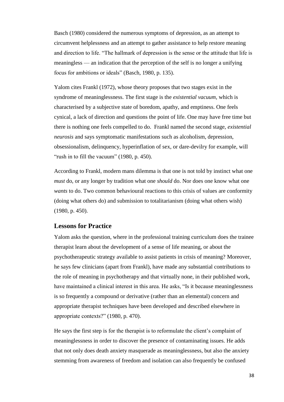Basch (1980) considered the numerous symptoms of depression, as an attempt to circumvent helplessness and an attempt to gather assistance to help restore meaning and direction to life. "The hallmark of depression is the sense or the attitude that life is meaningless — an indication that the perception of the self is no longer a unifying focus for ambitions or ideals" (Basch, 1980, p. 135).

Yalom cites Frankl (1972), whose theory proposes that two stages exist in the syndrome of meaninglessness. The first stage is the *existential vacuum,* which is characterised by a subjective state of boredom, apathy, and emptiness. One feels cynical, a lack of direction and questions the point of life. One may have free time but there is nothing one feels compelled to do. Frankl named the second stage, *existential neurosis* and says symptomatic manifestations such as alcoholism, depression, obsessionalism, delinquency, hyperinflation of sex, or dare-devilry for example, will "rush in to fill the vacuum"  $(1980, p. 450)$ .

According to Frankl, modern mans dilemma is that one is not told by instinct what one *must* do, or any longer by tradition what one *should* do. Nor does one know what one *wants* to do. Two common behavioural reactions to this crisis of values are conformity (doing what others do) and submission to totalitarianism (doing what others wish) (1980, p. 450).

## <span id="page-42-0"></span>**Lessons for Practice**

Yalom asks the question, where in the professional training curriculum does the trainee therapist learn about the development of a sense of life meaning, or about the psychotherapeutic strategy available to assist patients in crisis of meaning? Moreover, he says few clinicians (apart from Frankl), have made any substantial contributions to the role of meaning in psychotherapy and that virtually none, in their published work, have maintained a clinical interest in this area. He asks, "Is it because meaninglessness is so frequently a compound or derivative (rather than an elemental) concern and appropriate therapist techniques have been developed and described elsewhere in appropriate contexts?" (1980, p. 470).

He says the first step is for the therapist is to reformulate the client's complaint of meaninglessness in order to discover the presence of contaminating issues. He adds that not only does death anxiety masquerade as meaninglessness, but also the anxiety stemming from awareness of freedom and isolation can also frequently be confused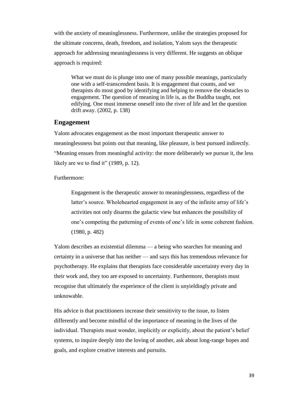with the anxiety of meaninglessness. Furthermore, unlike the strategies proposed for the ultimate concerns, death, freedom, and isolation, Yalom says the therapeutic approach for addressing meaninglessness is very different. He suggests an oblique approach is required:

What we must do is plunge into one of many possible meanings, particularly one with a self-transcendent basis. It is engagement that counts, and we therapists do most good by identifying and helping to remove the obstacles to engagement. The question of meaning in life is, as the Buddha taught, not edifying. One must immerse oneself into the river of life and let the question drift away. (2002, p. 138)

#### <span id="page-43-0"></span>**Engagement**

Yalom advocates engagement as the most important therapeutic answer to meaninglessness but points out that meaning, like pleasure, is best pursued indirectly. "Meaning ensues from meaningful activity: the more deliberately we pursue it, the less likely are we to find it" (1989, p. 12).

#### Furthermore:

Engagement is the therapeutic answer to meaninglessness, regardless of the latter's source. Wholehearted engagement in any of the infinite array of life's activities not only disarms the galactic view but enhances the possibility of one's competing the patterning of events of one's life in some coherent fashion. (1980, p. 482)

Yalom describes an existential dilemma — a being who searches for meaning and certainty in a universe that has neither — and says this has tremendous relevance for psychotherapy. He explains that therapists face considerable uncertainty every day in their work and, they too are exposed to uncertainty. Furthermore, therapists must recognise that ultimately the experience of the client is unyieldingly private and unknowable.

His advice is that practitioners increase their sensitivity to the issue, to listen differently and become mindful of the importance of meaning in the lives of the individual. Therapists must wonder, implicitly or explicitly, about the patient's belief systems, to inquire deeply into the loving of another, ask about long-range hopes and goals, and explore creative interests and pursuits.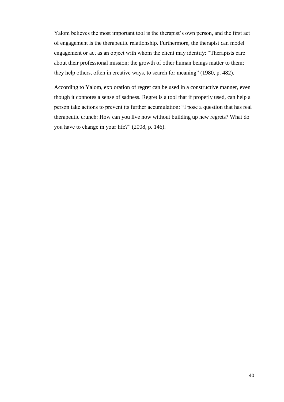Yalom believes the most important tool is the therapist's own person, and the first act of engagement is the therapeutic relationship. Furthermore, the therapist can model engagement or act as an object with whom the client may identify: "Therapists care about their professional mission; the growth of other human beings matter to them; they help others, often in creative ways, to search for meaning" (1980, p. 482).

According to Yalom, exploration of regret can be used in a constructive manner, even though it connotes a sense of sadness. Regret is a tool that if properly used, can help a person take actions to prevent its further accumulation: "I pose a question that has real therapeutic crunch: How can you live now without building up new regrets? What do you have to change in your life?" (2008, p. 146).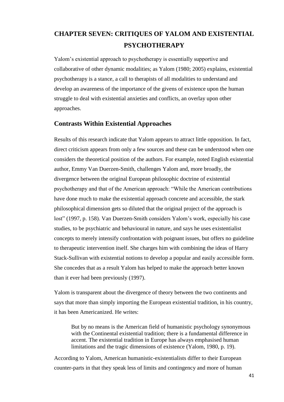# <span id="page-45-0"></span>**CHAPTER SEVEN: CRITIQUES OF YALOM AND EXISTENTIAL PSYCHOTHERAPY**

Yalom's existential approach to psychotherapy is essentially supportive and collaborative of other dynamic modalities; as Yalom (1980; 2005) explains, existential psychotherapy is a stance, a call to therapists of all modalities to understand and develop an awareness of the importance of the givens of existence upon the human struggle to deal with existential anxieties and conflicts, an overlay upon other approaches.

## **Contrasts Within Existential Approaches**

Results of this research indicate that Yalom appears to attract little opposition. In fact, direct criticism appears from only a few sources and these can be understood when one considers the theoretical position of the authors. For example, noted English existential author, Emmy Van Duerzen-Smith, challenges Yalom and, more broadly, the divergence between the original European philosophic doctrine of existential psychotherapy and that of the American approach: "While the American contributions have done much to make the existential approach concrete and accessible, the stark philosophical dimension gets so diluted that the original project of the approach is lost" (1997, p. 158). Van Duerzen-Smith considers Yalom's work, especially his case studies, to be psychiatric and behavioural in nature, and says he uses existentialist concepts to merely intensify confrontation with poignant issues, but offers no guideline to therapeutic intervention itself. She charges him with combining the ideas of Harry Stack-Sullivan with existential notions to develop a popular and easily accessible form. She concedes that as a result Yalom has helped to make the approach better known than it ever had been previously (1997).

Yalom is transparent about the divergence of theory between the two continents and says that more than simply importing the European existential tradition, in his country, it has been Americanized. He writes:

But by no means is the American field of humanistic psychology synonymous with the Continental existential tradition; there is a fundamental difference in accent. The existential tradition in Europe has always emphasised human limitations and the tragic dimensions of existence (Yalom, 1980, p. 19).

According to Yalom, American humanistic-existentialists differ to their European counter-parts in that they speak less of limits and contingency and more of human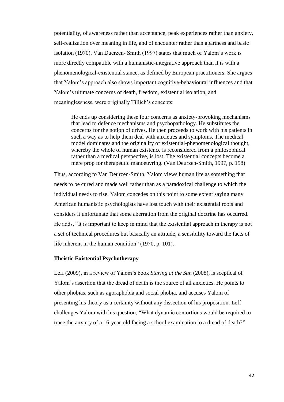potentiality, of awareness rather than acceptance, peak experiences rather than anxiety, self-realization over meaning in life, and of encounter rather than apartness and basic isolation (1970). Van Duerzen- Smith (1997) states that much of Yalom's work is more directly compatible with a humanistic-integrative approach than it is with a phenomenological-existential stance, as defined by European practitioners. She argues that Yalom's approach also shows important cognitive-behavioural influences and that Yalom's ultimate concerns of death, freedom, existential isolation, and meaninglessness, were originally Tillich's concepts:

He ends up considering these four concerns as anxiety-provoking mechanisms that lead to defence mechanisms and psychopathology. He substitutes the concerns for the notion of drives. He then proceeds to work with his patients in such a way as to help them deal with anxieties and symptoms. The medical model dominates and the originality of existential-phenomenological thought, whereby the whole of human existence is reconsidered from a philosophical rather than a medical perspective, is lost. The existential concepts become a mere prop for therapeutic manoeuvring. (Van Deurzen-Smith, 1997, p. 158)

Thus, according to Van Deurzen-Smith, Yalom views human life as something that needs to be cured and made well rather than as a paradoxical challenge to which the individual needs to rise. Yalom concedes on this point to some extent saying many American humanistic psychologists have lost touch with their existential roots and considers it unfortunate that some aberration from the original doctrine has occurred. He adds, "It is important to keep in mind that the existential approach in therapy is not a set of technical procedures but basically an attitude, a sensibility toward the facts of life inherent in the human condition" (1970, p. 101).

#### **Theistic Existential Psychotherapy**

Leff (2009), in a review of Yalom's book *Staring at the Sun* (2008), is sceptical of Yalom's assertion that the dread of death is the source of all anxieties. He points to other phobias, such as agoraphobia and social phobia, and accuses Yalom of presenting his theory as a certainty without any dissection of his proposition. Leff challenges Yalom with his question, "What dynamic contortions would be required to trace the anxiety of a 16-year-old facing a school examination to a dread of death?"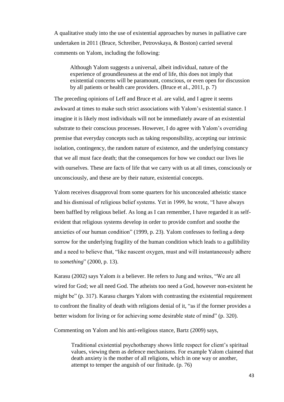A qualitative study into the use of existential approaches by nurses in palliative care undertaken in 2011 (Bruce, Schreiber, Petrovskaya, & Boston) carried several comments on Yalom, including the following:

Although Yalom suggests a universal, albeit individual, nature of the experience of groundlessness at the end of life, this does not imply that existential concerns will be paramount, conscious, or even open for discussion by all patients or health care providers. (Bruce et al., 2011, p. 7)

The preceding opinions of Leff and Bruce et al. are valid, and I agree it seems awkward at times to make such strict associations with Yalom's existential stance. I imagine it is likely most individuals will not be immediately aware of an existential substrate to their conscious processes. However, I do agree with Yalom's overriding premise that everyday concepts such as taking responsibility, accepting our intrinsic isolation, contingency, the random nature of existence, and the underlying constancy that we all must face death; that the consequences for how we conduct our lives lie with ourselves. These are facts of life that we carry with us at all times, consciously or unconsciously, and these are by their nature, existential concepts.

Yalom receives disapproval from some quarters for his unconcealed atheistic stance and his dismissal of religious belief systems. Yet in 1999, he wrote, "I have always been baffled by religious belief. As long as I can remember, I have regarded it as selfevident that religious systems develop in order to provide comfort and soothe the anxieties of our human condition" (1999, p. 23). Yalom confesses to feeling a deep sorrow for the underlying fragility of the human condition which leads to a gullibility and a need to believe that, "like nascent oxygen, must and will instantaneously adhere to *something*" (2000, p. 13).

Karasu (2002) says Yalom *is* a believer. He refers to Jung and writes, "We are all wired for God; we all need God. The atheists too need a God, however non-existent he might be" (p. 317). Karasu charges Yalom with contrasting the existential requirement to confront the finality of death with religions denial of it, "as if the former provides a better wisdom for living or for achieving some desirable state of mind" (p. 320).

Commenting on Yalom and his anti-religious stance, Bartz (2009) says,

Traditional existential psychotherapy shows little respect for client's spiritual values, viewing them as defence mechanisms. For example Yalom claimed that death anxiety is the mother of all religions, which in one way or another, attempt to temper the anguish of our finitude. (p. 76)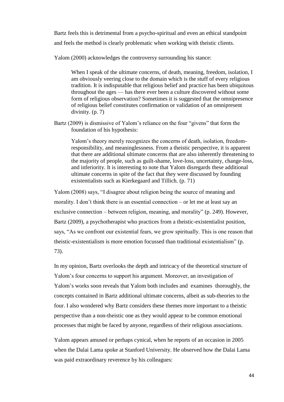Bartz feels this is detrimental from a psycho-spiritual and even an ethical standpoint and feels the method is clearly problematic when working with theistic clients.

Yalom (2000) acknowledges the controversy surrounding his stance:

When I speak of the ultimate concerns, of death, meaning, freedom, isolation, I am obviously veering close to the domain which is the stuff of every religious tradition. It is indisputable that religious belief and practice has been ubiquitous throughout the ages — has there ever been a culture discovered without some form of religious observation? Sometimes it is suggested that the omnipresence of religious belief constitutes confirmation or validation of an omnipresent divinity. (p. 7)

Bartz (2009) is dismissive of Yalom's reliance on the four "givens" that form the foundation of his hypothesis:

Yalom's theory merely recognizes the concerns of death, isolation, freedomresponsibility, and meaninglessness. From a theistic perspective, it is apparent that there are additional ultimate concerns that are also inherently threatening to the majority of people, such as guilt-shame, love-loss, uncertainty, change-loss, and inferiority. It is interesting to note that Yalom disregards these additional ultimate concerns in spite of the fact that they were discussed by founding existentialists such as Kierkegaard and Tillich. (p. 71)

Yalom (2008) says, "I disagree about religion being the source of meaning and morality. I don't think there is an essential connection – or let me at least say an exclusive connection – between religion, meaning, and morality" (p. 249). However, Bartz (2009), a psychotherapist who practices from a theistic-existentialist position, says, "As we confront our existential fears, we grow spiritually. This is one reason that theistic-existentialism is more emotion focussed than traditional existentialism" (p. 73).

In my opinion, Bartz overlooks the depth and intricacy of the theoretical structure of Yalom's four concerns to support his argument. Moreover, an investigation of Yalom's works soon reveals that Yalom both includes and examines thoroughly, the concepts contained in Bartz additional ultimate concerns, albeit as sub-theories to the four. I also wondered why Bartz considers these themes more important to a theistic perspective than a non-theistic one as they would appear to be common emotional processes that might be faced by anyone, regardless of their religious associations.

Yalom appears amused or perhaps cynical, when he reports of an occasion in 2005 when the Dalai Lama spoke at Stanford University. He observed how the Dalai Lama was paid extraordinary reverence by his colleagues: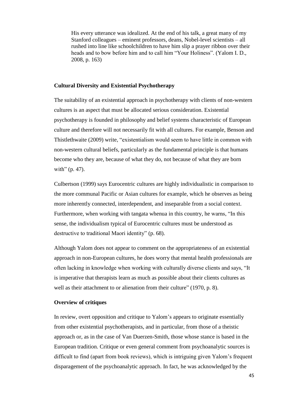His every utterance was idealized. At the end of his talk, a great many of my Stanford colleagues – eminent professors, deans, Nobel-level scientists – all rushed into line like schoolchildren to have him slip a prayer ribbon over their heads and to bow before him and to call him "Your Holiness". (Yalom I. D., 2008, p. 163)

#### **Cultural Diversity and Existential Psychotherapy**

The suitability of an existential approach in psychotherapy with clients of non-western cultures is an aspect that must be allocated serious consideration. Existential psychotherapy is founded in philosophy and belief systems characteristic of European culture and therefore will not necessarily fit with all cultures. For example, Benson and Thistlethwaite (2009) write, "existentialism would seem to have little in common with non-western cultural beliefs, particularly as the fundamental principle is that humans become who they are, because of what they do, not because of what they are born with" (p. 47).

Culbertson (1999) says Eurocentric cultures are highly individualistic in comparison to the more communal Pacific or Asian cultures for example, which he observes as being more inherently connected, interdependent, and inseparable from a social context. Furthermore, when working with tangata whenua in this country, he warns, "In this sense, the individualism typical of Eurocentric cultures must be understood as destructive to traditional Maori identity" (p. 68).

Although Yalom does not appear to comment on the appropriateness of an existential approach in non-European cultures, he does worry that mental health professionals are often lacking in knowledge when working with culturally diverse clients and says, "It is imperative that therapists learn as much as possible about their clients cultures as well as their attachment to or alienation from their culture" (1970, p. 8).

#### **Overview of critiques**

In review, overt opposition and critique to Yalom's appears to originate essentially from other existential psychotherapists, and in particular, from those of a theistic approach or, as in the case of Van Duerzen-Smith, those whose stance is based in the European tradition. Critique or even general comment from psychoanalytic sources is difficult to find (apart from book reviews), which is intriguing given Yalom's frequent disparagement of the psychoanalytic approach. In fact, he was acknowledged by the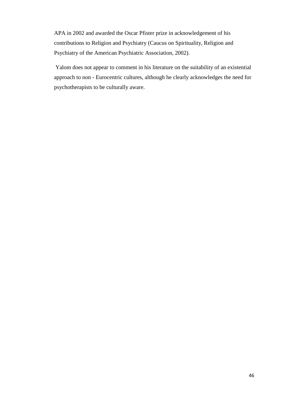APA in 2002 and awarded the Oscar Pfister prize in acknowledgement of his contributions to Religion and Psychiatry (Caucus on Spirituality, Religion and Psychiatry of the American Psychiatric Association, 2002).

Yalom does not appear to comment in his literature on the suitability of an existential approach to non - Eurocentric cultures, although he clearly acknowledges the need for psychotherapists to be culturally aware.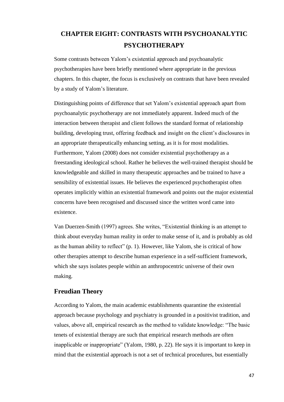# <span id="page-51-0"></span>**CHAPTER EIGHT: CONTRASTS WITH PSYCHOANALYTIC PSYCHOTHERAPY**

Some contrasts between Yalom's existential approach and psychoanalytic psychotherapies have been briefly mentioned where appropriate in the previous chapters. In this chapter, the focus is exclusively on contrasts that have been revealed by a study of Yalom's literature.

Distinguishing points of difference that set Yalom's existential approach apart from psychoanalytic psychotherapy are not immediately apparent. Indeed much of the interaction between therapist and client follows the standard format of relationship building, developing trust, offering feedback and insight on the client's disclosures in an appropriate therapeutically enhancing setting, as it is for most modalities. Furthermore, Yalom (2008) does not consider existential psychotherapy as a freestanding ideological school. Rather he believes the well-trained therapist should be knowledgeable and skilled in many therapeutic approaches and be trained to have a sensibility of existential issues. He believes the experienced psychotherapist often operates implicitly within an existential framework and points out the major existential concerns have been recognised and discussed since the written word came into existence.

Van Duerzen-Smith (1997) agrees. She writes, "Existential thinking is an attempt to think about everyday human reality in order to make sense of it, and is probably as old as the human ability to reflect" (p. 1). However, like Yalom, she is critical of how other therapies attempt to describe human experience in a self-sufficient framework, which she says isolates people within an anthropocentric universe of their own making.

# <span id="page-51-1"></span>**Freudian Theory**

According to Yalom, the main academic establishments quarantine the existential approach because psychology and psychiatry is grounded in a positivist tradition, and values, above all, empirical research as the method to validate knowledge: "The basic tenets of existential therapy are such that empirical research methods are often inapplicable or inappropriate" (Yalom, 1980, p. 22). He says it is important to keep in mind that the existential approach is not a set of technical procedures, but essentially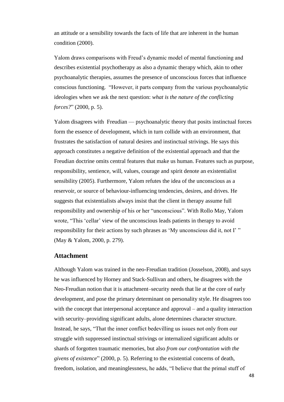an attitude or a sensibility towards the facts of life that are inherent in the human condition (2000).

Yalom draws comparisons with Freud's dynamic model of mental functioning and describes existential psychotherapy as also a dynamic therapy which, akin to other psychoanalytic therapies, assumes the presence of unconscious forces that influence conscious functioning. "However, it parts company from the various psychoanalytic ideologies when we ask the next question: *what is the nature of the conflicting forces?*" (2000, p. 5).

Yalom disagrees with Freudian — psychoanalytic theory that posits instinctual forces form the essence of development, which in turn collide with an environment, that frustrates the satisfaction of natural desires and instinctual strivings. He says this approach constitutes a negative definition of the existential approach and that the Freudian doctrine omits central features that make us human. Features such as purpose, responsibility, sentience, will, values, courage and spirit denote an existentialist sensibility (2005). Furthermore, Yalom refutes the idea of the unconscious as a reservoir, or source of behaviour-influencing tendencies, desires, and drives. He suggests that existentialists always insist that the client in therapy assume full responsibility and ownership of his or her "unconscious". With Rollo May, Yalom wrote, "This 'cellar' view of the unconscious leads patients in therapy to avoid responsibility for their actions by such phrases as 'My unconscious did it, not I' " (May & Yalom, 2000, p. 279).

## <span id="page-52-0"></span>**Attachment**

Although Yalom was trained in the neo-Freudian tradition (Josselson, 2008), and says he was influenced by Horney and Stack-Sullivan and others, he disagrees with the Neo-Freudian notion that it is attachment–security needs that lie at the core of early development, and pose the primary determinant on personality style. He disagrees too with the concept that interpersonal acceptance and approval – and a quality interaction with security–providing significant adults, alone determines character structure. Instead, he says, "That the inner conflict bedevilling us issues not only from our struggle with suppressed instinctual strivings or internalized significant adults or shards of forgotten traumatic memories, but also *from our confrontation with the givens of existence*" (2000, p. 5). Referring to the existential concerns of death, freedom, isolation, and meaninglessness, he adds, "I believe that the primal stuff of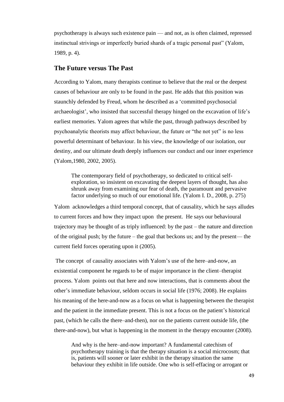psychotherapy is always such existence pain — and not, as is often claimed, repressed instinctual strivings or imperfectly buried shards of a tragic personal past" (Yalom, 1989, p. 4).

## <span id="page-53-0"></span>**The Future versus The Past**

According to Yalom, many therapists continue to believe that the real or the deepest causes of behaviour are only to be found in the past. He adds that this position was staunchly defended by Freud, whom he described as a 'committed psychosocial archaeologist', who insisted that successful therapy hinged on the excavation of life's earliest memories. Yalom agrees that while the past, through pathways described by psychoanalytic theorists may affect behaviour, the future or "the not yet" is no less powerful determinant of behaviour. In his view, the knowledge of our isolation, our destiny, and our ultimate death deeply influences our conduct and our inner experience (Yalom,1980, 2002, 2005).

The contemporary field of psychotherapy, so dedicated to critical selfexploration, so insistent on excavating the deepest layers of thought, has also shrunk away from examining our fear of death, the paramount and pervasive factor underlying so much of our emotional life. (Yalom I. D., 2008, p. 275)

Yalom acknowledges a third temporal concept, that of causality, which he says alludes to current forces and how they impact upon the present. He says our behavioural trajectory may be thought of as triply influenced: by the past – the nature and direction of the original push; by the future – the goal that beckons us; and by the present— the current field forces operating upon it (2005).

The concept of causality associates with Yalom's use of the here–and-now, an existential component he regards to be of major importance in the client–therapist process. Yalom points out that here and now interactions, that is comments about the other's immediate behaviour, seldom occurs in social life (1976; 2008). He explains his meaning of the here-and-now as a focus on what is happening between the therapist and the patient in the immediate present. This is not a focus on the patient's historical past, (which he calls the there–and-then), nor on the patients current outside life, (the there-and-now), but what is happening in the moment in the therapy encounter (2008).

And why is the here–and-now important? A fundamental catechism of psychotherapy training is that the therapy situation is a social microcosm; that is, patients will sooner or later exhibit in the therapy situation the same behaviour they exhibit in life outside. One who is self-effacing or arrogant or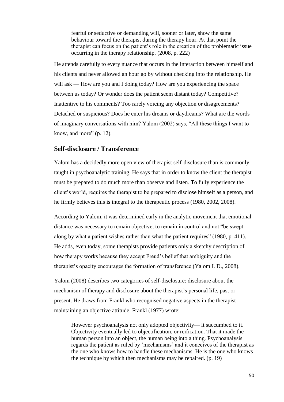fearful or seductive or demanding will, sooner or later, show the same behaviour toward the therapist during the therapy hour. At that point the therapist can focus on the patient's role in the creation of the problematic issue occurring in the therapy relationship. (2008, p. 222)

He attends carefully to every nuance that occurs in the interaction between himself and his clients and never allowed an hour go by without checking into the relationship. He will ask — How are you and I doing today? How are you experiencing the space between us today? Or wonder does the patient seem distant today? Competitive? Inattentive to his comments? Too rarely voicing any objection or disagreements? Detached or suspicious? Does he enter his dreams or daydreams? What are the words of imaginary conversations with him? Yalom (2002) says, "All these things I want to know, and more" (p. 12).

# <span id="page-54-0"></span>**Self-disclosure / Transference**

Yalom has a decidedly more open view of therapist self-disclosure than is commonly taught in psychoanalytic training. He says that in order to know the client the therapist must be prepared to do much more than observe and listen. To fully experience the client's world, requires the therapist to be prepared to disclose himself as a person, and he firmly believes this is integral to the therapeutic process (1980, 2002, 2008).

According to Yalom, it was determined early in the analytic movement that emotional distance was necessary to remain objective, to remain in control and not "be swept along by what a patient wishes rather than what the patient requires" (1980, p. 411). He adds, even today, some therapists provide patients only a sketchy description of how therapy works because they accept Freud's belief that ambiguity and the therapist's opacity encourages the formation of transference (Yalom I. D., 2008).

Yalom (2008) describes two categories of self-disclosure: disclosure about the mechanism of therapy and disclosure about the therapist's personal life, past or present. He draws from Frankl who recognised negative aspects in the therapist maintaining an objective attitude. Frankl (1977) wrote:

However psychoanalysis not only adopted objectivity— it succumbed to it. Objectivity eventually led to objectification, or reification. That it made the human person into an object, the human being into a thing. Psychoanalysis regards the patient as ruled by 'mechanisms' and it conceives of the therapist as the one who knows how to handle these mechanisms. He is the one who knows the technique by which then mechanisms may be repaired. (p. 19)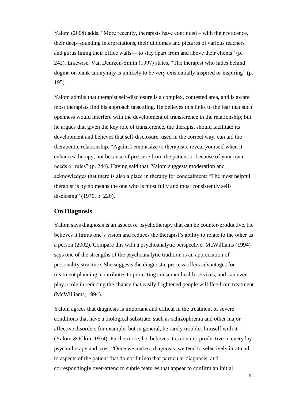Yalom (2008) adds, "More recently, therapists have continued – with their reticence, their deep–sounding interpretations, their diplomas and pictures of various teachers and gurus lining their office walls— to stay apart from and above their clients" (p. 242). Likewise, Van Deurzen-Smith (1997) states, "The therapist who hides behind dogma or blank anonymity is unlikely to be very existentially inspired or inspiring" (p. 195).

Yalom admits that therapist self-disclosure is a complex, contested area, and is aware most therapists find his approach unsettling. He believes this links to the fear that such openness would interfere with the development of transference in the relationship; but he argues that given the key role of transference, the therapist should facilitate its development and believes that self-disclosure, used in the correct way, can aid the therapeutic relationship. "Again, I emphasize to therapists, reveal yourself when it enhances therapy, not because of pressure from the patient or because of your own needs or rules" (p. 244). Having said that, Yalom suggests moderation and acknowledges that there is also a place in therapy for concealment: "The most helpful therapist is by no means the one who is most fully and most consistently selfdisclosing" (1970, p. 226).

# <span id="page-55-0"></span>**On Diagnosis**

Yalom says diagnosis is an aspect of psychotherapy that can be counter-productive. He believes it limits one's vision and reduces the therapist's ability to relate to the other as a person (2002). Compare this with a psychoanalytic perspective: McWilliams (1994) says one of the strengths of the psychoanalytic tradition is an appreciation of personality structure. She suggests the diagnostic process offers advantages for treatment planning, contributes to protecting consumer health services, and can even play a role in reducing the chance that easily frightened people will flee from treatment (McWilliams, 1994).

Yalom agrees that diagnosis is important and critical in the treatment of severe conditions that have a biological substrate, such as schizophrenia and other major affective disorders for example, but in general, he rarely troubles himself with it (Yalom & Elkin, 1974). Furthermore, he believes it is counter-productive in everyday psychotherapy and says, "Once we make a diagnosis, we tend to selectively in-attend to aspects of the patient that do not fit into that particular diagnosis, and correspondingly over-attend to subtle features that appear to confirm an initial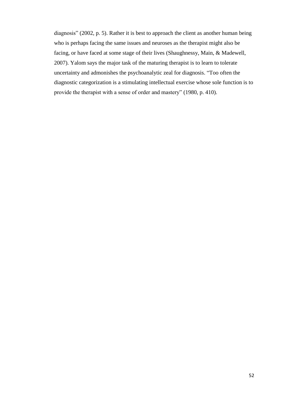diagnosis" (2002, p. 5). Rather it is best to approach the client as another human being who is perhaps facing the same issues and neuroses as the therapist might also be facing, or have faced at some stage of their lives (Shaughnessy, Main, & Madewell, 2007). Yalom says the major task of the maturing therapist is to learn to tolerate uncertainty and admonishes the psychoanalytic zeal for diagnosis. "Too often the diagnostic categorization is a stimulating intellectual exercise whose sole function is to provide the therapist with a sense of order and mastery" (1980, p. 410).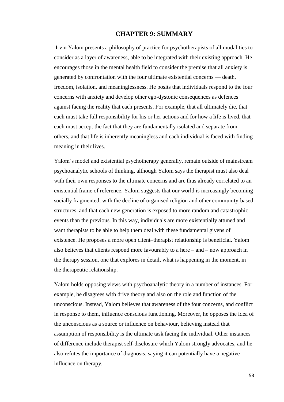### **CHAPTER 9: SUMMARY**

<span id="page-57-0"></span>Irvin Yalom presents a philosophy of practice for psychotherapists of all modalities to consider as a layer of awareness, able to be integrated with their existing approach. He encourages those in the mental health field to consider the premise that all anxiety is generated by confrontation with the four ultimate existential concerns — death, freedom, isolation, and meaninglessness. He posits that individuals respond to the four concerns with anxiety and develop other ego-dystonic consequences as defences against facing the reality that each presents. For example, that all ultimately die, that each must take full responsibility for his or her actions and for how a life is lived, that each must accept the fact that they are fundamentally isolated and separate from others, and that life is inherently meaningless and each individual is faced with finding meaning in their lives.

Yalom's model and existential psychotherapy generally, remain outside of mainstream psychoanalytic schools of thinking, although Yalom says the therapist must also deal with their own responses to the ultimate concerns and are thus already correlated to an existential frame of reference. Yalom suggests that our world is increasingly becoming socially fragmented, with the decline of organised religion and other community-based structures, and that each new generation is exposed to more random and catastrophic events than the previous. In this way, individuals are more existentially attuned and want therapists to be able to help them deal with these fundamental givens of existence. He proposes a more open client–therapist relationship is beneficial. Yalom also believes that clients respond more favourably to a here – and – now approach in the therapy session, one that explores in detail, what is happening in the moment, in the therapeutic relationship.

Yalom holds opposing views with psychoanalytic theory in a number of instances. For example, he disagrees with drive theory and also on the role and function of the unconscious. Instead, Yalom believes that awareness of the four concerns, and conflict in response to them, influence conscious functioning. Moreover, he opposes the idea of the unconscious as a source or influence on behaviour, believing instead that assumption of responsibility is the ultimate task facing the individual. Other instances of difference include therapist self-disclosure which Yalom strongly advocates, and he also refutes the importance of diagnosis, saying it can potentially have a negative influence on therapy.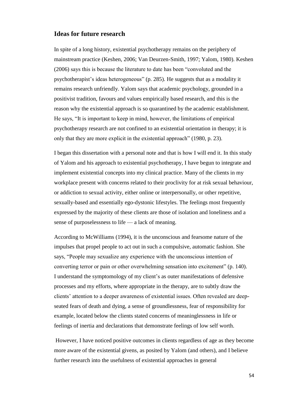#### **Ideas for future research**

In spite of a long history, existential psychotherapy remains on the periphery of mainstream practice (Keshen, 2006; Van Deurzen-Smith, 1997; Yalom, 1980). Keshen (2006) says this is because the literature to date has been "convoluted and the psychotherapist's ideas heterogeneous" (p. 285). He suggests that as a modality it remains research unfriendly. Yalom says that academic psychology, grounded in a positivist tradition, favours and values empirically based research, and this is the reason why the existential approach is so quarantined by the academic establishment. He says, "It is important to keep in mind, however, the limitations of empirical psychotherapy research are not confined to an existential orientation in therapy; it is only that they are more explicit in the existential approach" (1980, p. 23).

I began this dissertation with a personal note and that is how I will end it. In this study of Yalom and his approach to existential psychotherapy, I have begun to integrate and implement existential concepts into my clinical practice. Many of the clients in my workplace present with concerns related to their proclivity for at risk sexual behaviour, or addiction to sexual activity, either online or interpersonally, or other repetitive, sexually-based and essentially ego-dystonic lifestyles. The feelings most frequently expressed by the majority of these clients are those of isolation and loneliness and a sense of purposelessness to life — a lack of meaning.

According to McWilliams (1994), it is the unconscious and fearsome nature of the impulses that propel people to act out in such a compulsive, automatic fashion. She says, "People may sexualize any experience with the unconscious intention of converting terror or pain or other overwhelming sensation into excitement" (p. 140). I understand the symptomology of my client's as outer manifestations of defensive processes and my efforts, where appropriate in the therapy, are to subtly draw the clients' attention to a deeper awareness of existential issues. Often revealed are deepseated fears of death and dying, a sense of groundlessness, fear of responsibility for example, located below the clients stated concerns of meaninglessness in life or feelings of inertia and declarations that demonstrate feelings of low self worth.

However, I have noticed positive outcomes in clients regardless of age as they become more aware of the existential givens, as posited by Yalom (and others), and I believe further research into the usefulness of existential approaches in general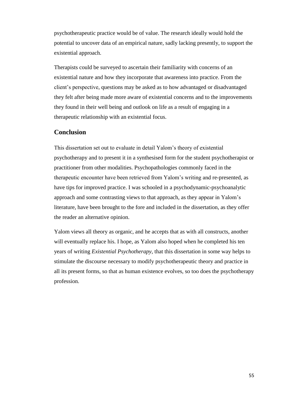psychotherapeutic practice would be of value. The research ideally would hold the potential to uncover data of an empirical nature, sadly lacking presently, to support the existential approach.

Therapists could be surveyed to ascertain their familiarity with concerns of an existential nature and how they incorporate that awareness into practice. From the client's perspective, questions may be asked as to how advantaged or disadvantaged they felt after being made more aware of existential concerns and to the improvements they found in their well being and outlook on life as a result of engaging in a therapeutic relationship with an existential focus.

# **Conclusion**

This dissertation set out to evaluate in detail Yalom's theory of existential psychotherapy and to present it in a synthesised form for the student psychotherapist or practitioner from other modalities. Psychopathologies commonly faced in the therapeutic encounter have been retrieved from Yalom's writing and re-presented, as have tips for improved practice. I was schooled in a psychodynamic-psychoanalytic approach and some contrasting views to that approach, as they appear in Yalom's literature, have been brought to the fore and included in the dissertation, as they offer the reader an alternative opinion.

Yalom views all theory as organic, and he accepts that as with all constructs, another will eventually replace his. I hope, as Yalom also hoped when he completed his ten years of writing *Existential Psychotherapy*, that this dissertation in some way helps to stimulate the discourse necessary to modify psychotherapeutic theory and practice in all its present forms, so that as human existence evolves, so too does the psychotherapy profession.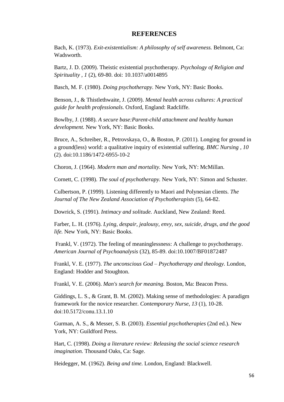#### **REFERENCES**

<span id="page-60-0"></span>Bach, K. (1973). *Exit-existentialism: A philosophy of self awareness.* Belmont, Ca: Wadsworth.

Bartz, J. D. (2009). Theistic existential psychotherapy. *Psychology of Religion and Spirituality , 1* (2), 69-80. doi: 10.1037/a0014895

Basch, M. F. (1980). *Doing psychotherapy.* New York, NY: Basic Books.

Benson, J., & Thistlethwaite, J. (2009). *Mental health across cultures: A practical guide for health professionals.* Oxford, England: Radcliffe.

Bowlby, J. (1988). *A secure base:Parent-child attachment and healthy human development.* New York, NY: Basic Books.

Bruce, A., Schreiber, R., Petrovskaya, O., & Boston, P. (2011). Longing for ground in a ground(less) world: a qualitative inquiry of existential suffering. *BMC Nursing , 10* (2). doi:10.1186/1472-6955-10-2

Choron, J. (1964). *Modern man and mortality.* New York, NY: McMillan.

Cornett, C. (1998). *The soul of psychotherapy.* New York, NY: Simon and Schuster.

Culbertson, P. (1999). Listening differently to Maori and Polynesian clients. *The Journal of The New Zealand Association of Psychotherapists* (5), 64-82.

Dowrick, S. (1991). *Intimacy and solitude.* Auckland, New Zealand: Reed.

Farber, L. H. (1976). *Lying, despair, jealousy, envy, sex, suicide, drugs, and the good life.* New York, NY: Basic Books.

Frankl, V. (1972). The feeling of meaninglessness: A challenge to psychotherapy. *American Journal of Psychoanalysis* (32), 85-89. doi:10.1007/BF01872487

Frankl, V. E. (1977). *The unconscious God – Psychotherapy and theology.* London, England: Hodder and Stoughton.

Frankl, V. E. (2006). *Man's search for meaning.* Boston, Ma: Beacon Press.

Giddings, L. S., & Grant, B. M. (2002). Making sense of methodologies: A paradigm framework for the novice researcher. *Contemporary Nurse, 13* (1), 10-28. doi:10.5172/conu.13.1.10

Gurman, A. S., & Messer, S. B. (2003). *Essential psychotherapies* (2nd ed.). New York, NY: Guildford Press.

Hart, C. (1998). *Doing a literature review: Releasing the social science research imagination.* Thousand Oaks, Ca: Sage.

Heidegger, M. (1962). *Being and time.* London, England: Blackwell.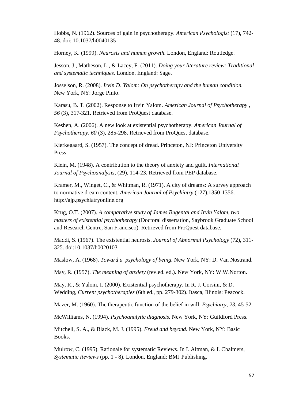Hobbs, N. (1962). Sources of gain in psychotherapy. *American Psychologist* (17), 742- 48. doi: 10.1037/h0040135

Horney, K. (1999). *Neurosis and human growth.* London, England: Routledge.

Jesson, J., Matheson, L., & Lacey, F. (2011). *Doing your literature review: Traditional and systematic techniques.* London, England: Sage.

Josselson, R. (2008). *Irvin D. Yalom: On psychotherapy and the human condition.* New York, NY: Jorge Pinto.

Karasu, B. T. (2002). Response to Irvin Yalom. *American Journal of Psychotherapy , 56* (3), 317-321. Retrieved from ProQuest database.

Keshen, A. (2006). A new look at existential psychotherapy. *American Journal of Psychotherapy, 60* (3), 285-298. Retrieved from ProQuest database.

Kierkegaard, S. (1957). The concept of dread*.* Princeton, NJ: Princeton University Press.

Klein, M. (1948). A contribution to the theory of anxiety and guilt. *International Journal of Psychoanalysis,* (29), 114-23. Retrieved from PEP database.

Kramer, M., Winget, C., & Whitman, R. (1971). A city of dreams: A survey approach to normative dream content. *American Journal of Psychiatry* (127),1350-1356. http://ajp.psychiatryonline.org

Krug, O.T. (2007). *A comparative study of James Bugental and Irvin Yalom, two masters of existential psychotherapy* (Doctoral dissertation, Saybrook Graduate School and Research Centre, San Francisco). Retrieved from ProQuest database.

Maddi, S. (1967). The existential neurosis. *Journal of Abnormal Psychology* (72), 311- 325. doi:10.1037/h0020103

Maslow, A. (1968). *Toward a psychology of being.* New York, NY: D. Van Nostrand.

May, R. (1957). *The meaning of anxiety* (rev.ed. ed.). New York, NY: W.W.Norton.

May, R., & Yalom, I. (2000). Existential psychotherapy. In R. J. Corsini, & D. Wedding, *Current psychotherapies* (6th ed., pp. 279-302). Itasca, Illinois: Peacock.

Mazer, M. (1960). The therapeutic function of the belief in will. *Psychiatry, 23*, 45-52.

McWilliams, N. (1994). *Psychoanalytic diagnosis.* New York, NY: Guildford Press.

Mitchell, S. A., & Black, M. J. (1995). *Freud and beyond.* New York, NY: Basic Books.

Mulrow, C. (1995). Rationale for systematic Reviews. In I. Altman, & I. Chalmers, *Systematic Reviews* (pp. 1 - 8). London, England: BMJ Publishing.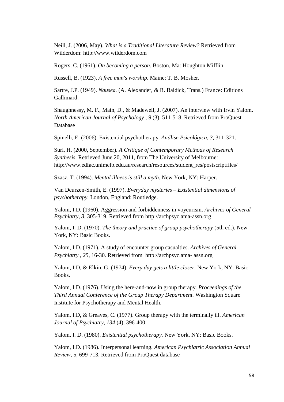Neill, J. (2006, May). *What is a Traditional Literature Review?* Retrieved from Wilderdom: http://www.wilderdom.com

Rogers, C. (1961). *On becoming a person.* Boston, Ma: Houghton Mifflin.

Russell, B. (1923). *A free man's worship.* Maine: T. B. Mosher.

Sartre, J.P. (1949). *Nausea.* (A. Alexander, & R. Baldick, Trans.) France: Editions Gallimard.

Shaughnessy, M. F., Main, D., & Madewell, J. (2007). An interview with Irvin Yalom. *North American Journal of Psychology , 9* (3), 511-518. Retrieved from ProQuest Database

Spinelli, E. (2006). Existential psychotherapy. *Análise Psicológica, 3*, 311-321.

Suri, H. (2000, September). *A Critique of Contemporary Methods of Research Synthesis.* Retrieved June 20, 2011, from The University of Melbourne: http://www.edfac.unimelb.edu.au/research/resources/student\_res/postscriptfiles/

Szasz, T. (1994). *Mental illness is still a myth.* New York, NY: Harper.

Van Deurzen-Smith, E. (1997). *Everyday mysteries – Existential dimensions of psychotherapy.* London, England: Routledge.

Yalom, I.D. (1960). Aggression and forbiddenness in voyeurism. *Archives of General Psychiatry, 3*, 305-319. Retrieved from http://archpsyc.ama-assn.org

Yalom, I. D. (1970). *The theory and practice of group psychotherapy* (5th ed.). New York, NY: Basic Books.

Yalom, I.D. (1971). A study of encounter group casualties. *Archives of General Psychiatry , 25*, 16-30. Retrieved from http://archpsyc.ama- assn.org

Yalom, I.D, & Elkin, G. (1974). *Every day gets a little closer.* New York, NY: Basic Books.

Yalom, I.D. (1976). Using the here-and-now in group therapy. *Proceedings of the Third Annual Conference of the Group Therapy Department.* Washington Square Institute for Psychotherapy and Mental Health.

Yalom, I.D, & Greaves, C. (1977). Group therapy with the terminally ill. *American Journal of Psychiatry, 134* (4), 396-400.

Yalom, I. D. (1980). *Existential psychotherapy.* New York, NY: Basic Books.

Yalom, I.D. (1986). Interpersonal learning. *American Psychiatric Association Annual Review*, 5, 699-713. Retrieved from ProQuest database